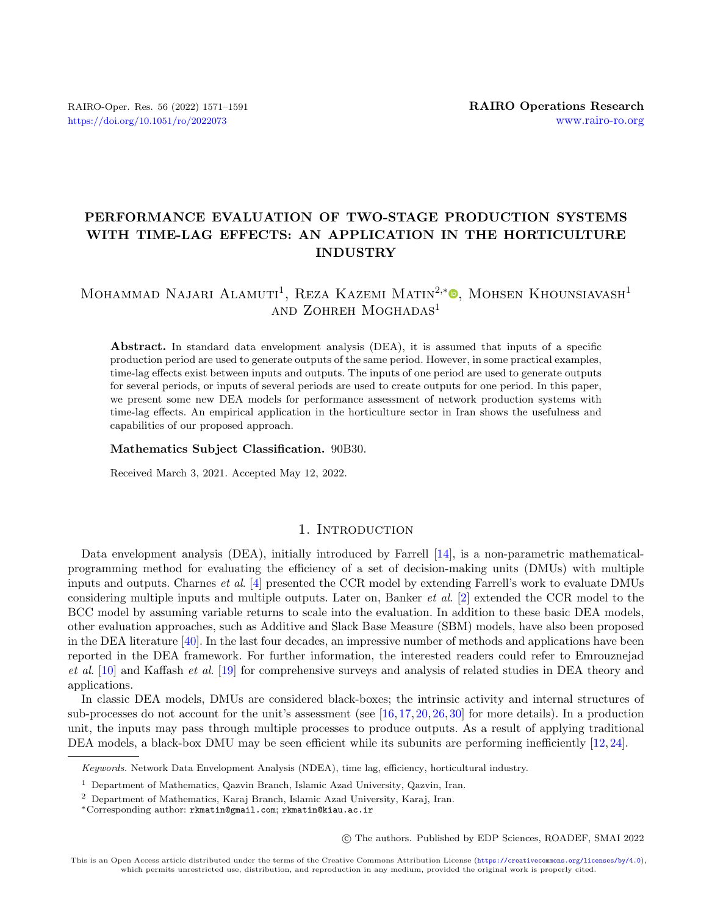## PERFORMANCE EVALUATION OF TWO-STAGE PRODUCTION SYSTEMS WITH TIME-LAG EFFECTS: AN APPLICATION IN THE HORTICULTURE INDUSTRY

# MOHAMMAD NAJARI ALAMUTI<sup>1</sup>[,](https://orcid.org/0000-0002-0282-1801) REZA KAZEMI MATIN<sup>2,\*</sup><sup>0</sup>, MOHSEN KHOUNSIAVASH<sup>1</sup> and Zohreh Moghadas<sup>1</sup>

Abstract. In standard data envelopment analysis (DEA), it is assumed that inputs of a specific production period are used to generate outputs of the same period. However, in some practical examples, time-lag effects exist between inputs and outputs. The inputs of one period are used to generate outputs for several periods, or inputs of several periods are used to create outputs for one period. In this paper, we present some new DEA models for performance assessment of network production systems with time-lag effects. An empirical application in the horticulture sector in Iran shows the usefulness and capabilities of our proposed approach.

#### Mathematics Subject Classification. 90B30.

Received March 3, 2021. Accepted May 12, 2022.

## 1. INTRODUCTION

<span id="page-0-0"></span>Data envelopment analysis (DEA), initially introduced by Farrell [\[14\]](#page-19-0), is a non-parametric mathematicalprogramming method for evaluating the efficiency of a set of decision-making units (DMUs) with multiple inputs and outputs. Charnes et al. [\[4\]](#page-19-1) presented the CCR model by extending Farrell's work to evaluate DMUs considering multiple inputs and multiple outputs. Later on, Banker et al. [\[2\]](#page-19-2) extended the CCR model to the BCC model by assuming variable returns to scale into the evaluation. In addition to these basic DEA models, other evaluation approaches, such as Additive and Slack Base Measure (SBM) models, have also been proposed in the DEA literature [\[40\]](#page-20-0). In the last four decades, an impressive number of methods and applications have been reported in the DEA framework. For further information, the interested readers could refer to Emrouznejad et al. [\[10\]](#page-19-3) and Kaffash et al. [\[19\]](#page-19-4) for comprehensive surveys and analysis of related studies in DEA theory and applications.

In classic DEA models, DMUs are considered black-boxes; the intrinsic activity and internal structures of sub-processes do not account for the unit's assessment (see  $[16, 17, 20, 26, 30]$  $[16, 17, 20, 26, 30]$  $[16, 17, 20, 26, 30]$  $[16, 17, 20, 26, 30]$  $[16, 17, 20, 26, 30]$  $[16, 17, 20, 26, 30]$  $[16, 17, 20, 26, 30]$  $[16, 17, 20, 26, 30]$  $[16, 17, 20, 26, 30]$  for more details). In a production unit, the inputs may pass through multiple processes to produce outputs. As a result of applying traditional DEA models, a black-box DMU may be seen efficient while its subunits are performing inefficiently [\[12,](#page-19-8) [24\]](#page-20-3).

Keywords. Network Data Envelopment Analysis (NDEA), time lag, efficiency, horticultural industry.

<sup>1</sup> Department of Mathematics, Qazvin Branch, Islamic Azad University, Qazvin, Iran.

<sup>2</sup> Department of Mathematics, Karaj Branch, Islamic Azad University, Karaj, Iran.

<sup>\*</sup>Corresponding author: [rkmatin@gmail.com](mailto:rkmatin@gmail.com); [rkmatin@kiau.ac.ir](mailto:rkmatin@kiau.ac.ir)

<sup>○</sup>c The authors. Published by EDP Sciences, ROADEF, SMAI 2022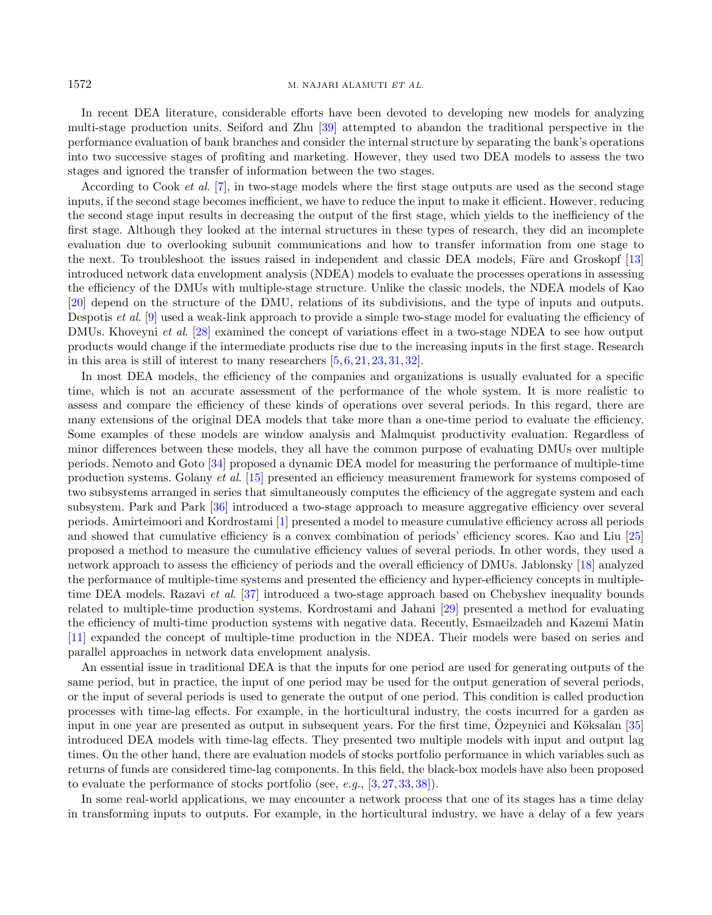#### 1572 M. NAJARI ALAMUTI ET AL.

In recent DEA literature, considerable efforts have been devoted to developing new models for analyzing multi-stage production units. Seiford and Zhu [\[39\]](#page-20-4) attempted to abandon the traditional perspective in the performance evaluation of bank branches and consider the internal structure by separating the bank's operations into two successive stages of profiting and marketing. However, they used two DEA models to assess the two stages and ignored the transfer of information between the two stages.

According to Cook et al. [\[7\]](#page-19-9), in two-stage models where the first stage outputs are used as the second stage inputs, if the second stage becomes inefficient, we have to reduce the input to make it efficient. However, reducing the second stage input results in decreasing the output of the first stage, which yields to the inefficiency of the first stage. Although they looked at the internal structures in these types of research, they did an incomplete evaluation due to overlooking subunit communications and how to transfer information from one stage to the next. To troubleshoot the issues raised in independent and classic DEA models, Färe and Groskopf [\[13\]](#page-19-10) introduced network data envelopment analysis (NDEA) models to evaluate the processes operations in assessing the efficiency of the DMUs with multiple-stage structure. Unlike the classic models, the NDEA models of Kao [\[20\]](#page-19-7) depend on the structure of the DMU, relations of its subdivisions, and the type of inputs and outputs. Despotis et al. [\[9\]](#page-19-11) used a weak-link approach to provide a simple two-stage model for evaluating the efficiency of DMUs. Khoveyni et al. [\[28\]](#page-20-5) examined the concept of variations effect in a two-stage NDEA to see how output products would change if the intermediate products rise due to the increasing inputs in the first stage. Research in this area is still of interest to many researchers [\[5,](#page-19-12) [6,](#page-19-13) [21,](#page-20-6) [23,](#page-20-7) [31,](#page-20-8) [32\]](#page-20-9).

In most DEA models, the efficiency of the companies and organizations is usually evaluated for a specific time, which is not an accurate assessment of the performance of the whole system. It is more realistic to assess and compare the efficiency of these kinds of operations over several periods. In this regard, there are many extensions of the original DEA models that take more than a one-time period to evaluate the efficiency. Some examples of these models are window analysis and Malmquist productivity evaluation. Regardless of minor differences between these models, they all have the common purpose of evaluating DMUs over multiple periods. Nemoto and Goto [\[34\]](#page-20-10) proposed a dynamic DEA model for measuring the performance of multiple-time production systems. Golany et al. [\[15\]](#page-19-14) presented an efficiency measurement framework for systems composed of two subsystems arranged in series that simultaneously computes the efficiency of the aggregate system and each subsystem. Park and Park [\[36\]](#page-20-11) introduced a two-stage approach to measure aggregative efficiency over several periods. Amirteimoori and Kordrostami [\[1\]](#page-19-15) presented a model to measure cumulative efficiency across all periods and showed that cumulative efficiency is a convex combination of periods' efficiency scores. Kao and Liu [\[25\]](#page-20-12) proposed a method to measure the cumulative efficiency values of several periods. In other words, they used a network approach to assess the efficiency of periods and the overall efficiency of DMUs. Jablonsky [\[18\]](#page-19-16) analyzed the performance of multiple-time systems and presented the efficiency and hyper-efficiency concepts in multipletime DEA models. Razavi et al. [\[37\]](#page-20-13) introduced a two-stage approach based on Chebyshev inequality bounds related to multiple-time production systems. Kordrostami and Jahani [\[29\]](#page-20-14) presented a method for evaluating the efficiency of multi-time production systems with negative data. Recently, Esmaeilzadeh and Kazemi Matin [\[11\]](#page-19-17) expanded the concept of multiple-time production in the NDEA. Their models were based on series and parallel approaches in network data envelopment analysis.

An essential issue in traditional DEA is that the inputs for one period are used for generating outputs of the same period, but in practice, the input of one period may be used for the output generation of several periods, or the input of several periods is used to generate the output of one period. This condition is called production processes with time-lag effects. For example, in the horticultural industry, the costs incurred for a garden as input in one year are presented as output in subsequent years. For the first time,  $\tilde{O}z$  peynici and Köksalan [[35\]](#page-20-15) introduced DEA models with time-lag effects. They presented two multiple models with input and output lag times. On the other hand, there are evaluation models of stocks portfolio performance in which variables such as returns of funds are considered time-lag components. In this field, the black-box models have also been proposed to evaluate the performance of stocks portfolio (see, e.g., [\[3,](#page-19-18) [27,](#page-20-16) [33,](#page-20-17) [38\]](#page-20-18)).

In some real-world applications, we may encounter a network process that one of its stages has a time delay in transforming inputs to outputs. For example, in the horticultural industry, we have a delay of a few years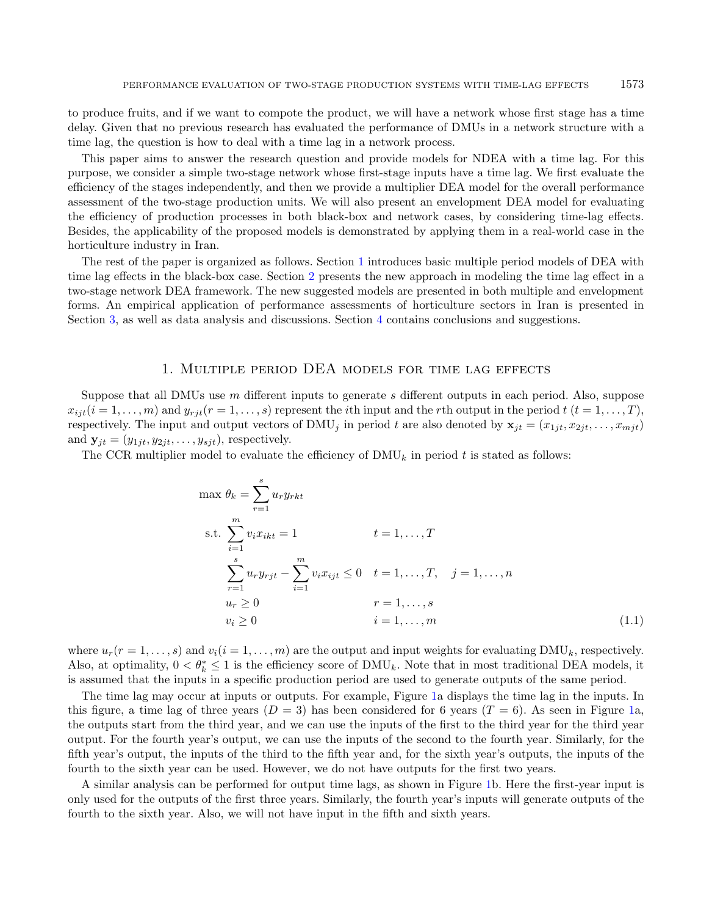to produce fruits, and if we want to compote the product, we will have a network whose first stage has a time delay. Given that no previous research has evaluated the performance of DMUs in a network structure with a time lag, the question is how to deal with a time lag in a network process.

This paper aims to answer the research question and provide models for NDEA with a time lag. For this purpose, we consider a simple two-stage network whose first-stage inputs have a time lag. We first evaluate the efficiency of the stages independently, and then we provide a multiplier DEA model for the overall performance assessment of the two-stage production units. We will also present an envelopment DEA model for evaluating the efficiency of production processes in both black-box and network cases, by considering time-lag effects. Besides, the applicability of the proposed models is demonstrated by applying them in a real-world case in the horticulture industry in Iran.

The rest of the paper is organized as follows. Section [1](#page-0-0) introduces basic multiple period models of DEA with time lag effects in the black-box case. Section [2](#page-4-0) presents the new approach in modeling the time lag effect in a two-stage network DEA framework. The new suggested models are presented in both multiple and envelopment forms. An empirical application of performance assessments of horticulture sectors in Iran is presented in Section [3,](#page-10-0) as well as data analysis and discussions. Section [4](#page-14-0) contains conclusions and suggestions.

## 1. Multiple period DEA models for time lag effects

Suppose that all DMUs use  $m$  different inputs to generate  $s$  different outputs in each period. Also, suppose  $x_{i}$   $(i = 1, \ldots, m)$  and  $y_{r}$   $i$   $(r = 1, \ldots, s)$  represent the *i*th input and the *r*th output in the period  $t$   $(t = 1, \ldots, T)$ , respectively. The input and output vectors of  $\text{DMU}_i$  in period t are also denoted by  $\mathbf{x}_{it} = (x_{1it}, x_{2it}, \ldots, x_{mit})$ and  $\mathbf{y}_{it} = (y_{1it}, y_{2it}, \dots, y_{sit})$ , respectively.

The CCR multiplier model to evaluate the efficiency of  $\text{DMU}_k$  in period t is stated as follows:

$$
\max \theta_k = \sum_{r=1}^{s} u_r y_{rkt}
$$
  
s.t. 
$$
\sum_{i=1}^{m} v_i x_{ikt} = 1 \qquad t = 1, ..., T
$$

$$
\sum_{r=1}^{s} u_r y_{rjt} - \sum_{i=1}^{m} v_i x_{ijt} \le 0 \qquad t = 1, ..., T, \quad j = 1, ..., n
$$

$$
u_r \ge 0 \qquad r = 1, ..., s
$$

$$
v_i \ge 0 \qquad i = 1, ..., m
$$
(1.1)

where  $u_r(r = 1, \ldots, s)$  and  $v_i(i = 1, \ldots, m)$  are the output and input weights for evaluating DMU<sub>k</sub>, respectively. Also, at optimality,  $0 < \theta_k^* \leq 1$  is the efficiency score of DMU<sub>k</sub>. Note that in most traditional DEA models, it is assumed that the inputs in a specific production period are used to generate outputs of the same period.

The time lag may occur at inputs or outputs. For example, Figure [1a](#page-3-0) displays the time lag in the inputs. In this figure, a time lag of three years  $(D = 3)$  has been considered for 6 years  $(T = 6)$ . As seen in Figure [1a](#page-3-0), the outputs start from the third year, and we can use the inputs of the first to the third year for the third year output. For the fourth year's output, we can use the inputs of the second to the fourth year. Similarly, for the fifth year's output, the inputs of the third to the fifth year and, for the sixth year's outputs, the inputs of the fourth to the sixth year can be used. However, we do not have outputs for the first two years.

A similar analysis can be performed for output time lags, as shown in Figure [1b](#page-3-0). Here the first-year input is only used for the outputs of the first three years. Similarly, the fourth year's inputs will generate outputs of the fourth to the sixth year. Also, we will not have input in the fifth and sixth years.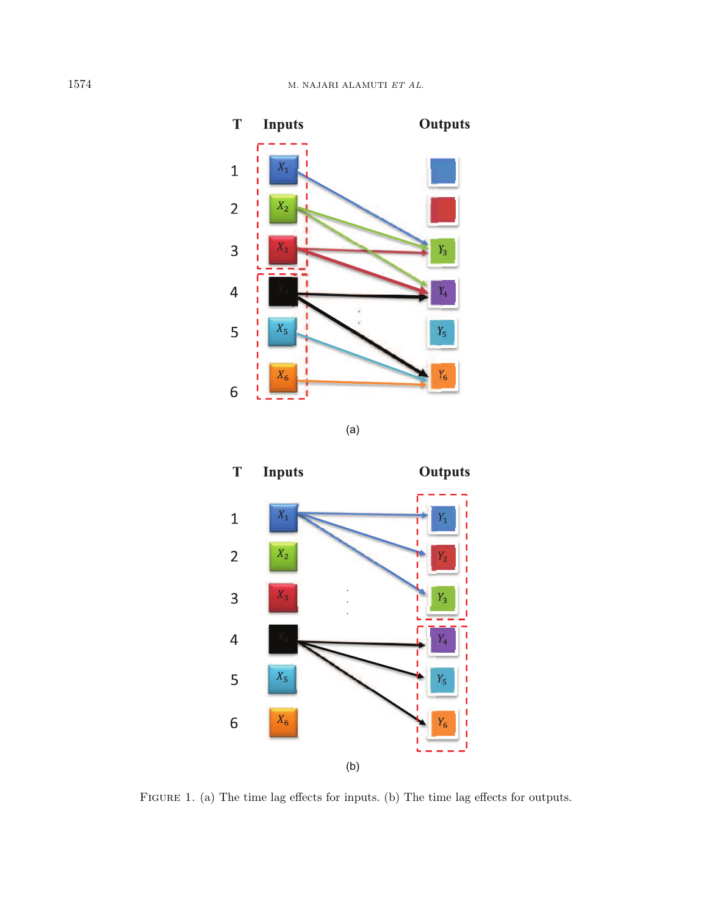

(a)

<span id="page-3-0"></span>

FIGURE 1. (a) The time lag effects for inputs. (b) The time lag effects for outputs.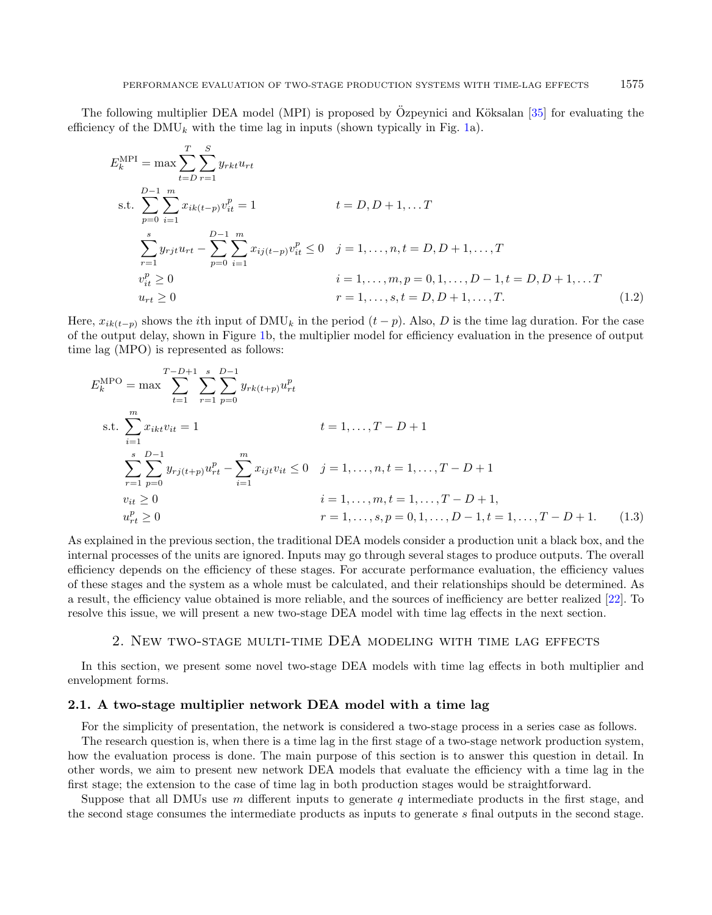The following multiplier DEA model (MPI) is proposed by Özpeynici and Köksalan  $[35]$  $[35]$  for evaluating the efficiency of the DMU<sub>k</sub> with the time lag in inputs (shown typically in Fig. [1a](#page-3-0)).

<span id="page-4-1"></span>
$$
E_k^{\text{MPI}} = \max \sum_{t=D} \sum_{r=1}^{T} y_{rkt} u_{rt}
$$
  
s.t. 
$$
\sum_{p=0}^{D-1} \sum_{i=1}^{m} x_{ik(t-p)} v_{it}^p = 1
$$
  

$$
\sum_{r=1}^{s} y_{rjt} u_{rt} - \sum_{p=0}^{D-1} \sum_{i=1}^{m} x_{ij(t-p)} v_{it}^p \le 0 \quad j = 1, ..., n, t = D, D+1, ..., T
$$
  

$$
v_{it}^p \ge 0
$$
  

$$
i = 1, ..., m, p = 0, 1, ..., D-1, t = D, D+1, ... T
$$
  

$$
u_{rt} \ge 0
$$
  

$$
r = 1, ..., s, t = D, D+1, ..., T.
$$
  
(1.2)

Here,  $x_{ik(t-p)}$  shows the *i*th input of DMU<sub>k</sub> in the period  $(t-p)$ . Also, D is the time lag duration. For the case of the output delay, shown in Figure [1b](#page-3-0), the multiplier model for efficiency evaluation in the presence of output time lag (MPO) is represented as follows:

$$
E_k^{\text{MPO}} = \max \sum_{t=1}^{T-D+1} \sum_{r=1}^{s} \sum_{p=0}^{D-1} y_{rk(t+p)} u_{rt}^p
$$
  
s.t. 
$$
\sum_{i=1}^{m} x_{ikt} v_{it} = 1 \qquad t = 1, ..., T - D + 1
$$

$$
\sum_{r=1}^{s} \sum_{p=0}^{D-1} y_{rj(t+p)} u_{rt}^p - \sum_{i=1}^{m} x_{ijt} v_{it} \le 0 \quad j = 1, ..., n, t = 1, ..., T - D + 1
$$

$$
v_{it} \ge 0 \qquad i = 1, ..., m, t = 1, ..., T - D + 1,
$$

$$
u_{rt}^p \ge 0 \qquad r = 1, ..., s, p = 0, 1, ..., D - 1, t = 1, ..., T - D + 1.
$$
 (1.3)

As explained in the previous section, the traditional DEA models consider a production unit a black box, and the internal processes of the units are ignored. Inputs may go through several stages to produce outputs. The overall efficiency depends on the efficiency of these stages. For accurate performance evaluation, the efficiency values of these stages and the system as a whole must be calculated, and their relationships should be determined. As a result, the efficiency value obtained is more reliable, and the sources of inefficiency are better realized [\[22\]](#page-20-19). To resolve this issue, we will present a new two-stage DEA model with time lag effects in the next section.

## 2. New two-stage multi-time DEA modeling with time lag effects

<span id="page-4-0"></span>In this section, we present some novel two-stage DEA models with time lag effects in both multiplier and envelopment forms.

#### 2.1. A two-stage multiplier network DEA model with a time lag

For the simplicity of presentation, the network is considered a two-stage process in a series case as follows.

The research question is, when there is a time lag in the first stage of a two-stage network production system, how the evaluation process is done. The main purpose of this section is to answer this question in detail. In other words, we aim to present new network DEA models that evaluate the efficiency with a time lag in the first stage; the extension to the case of time lag in both production stages would be straightforward.

Suppose that all DMUs use  $m$  different inputs to generate  $q$  intermediate products in the first stage, and the second stage consumes the intermediate products as inputs to generate final outputs in the second stage.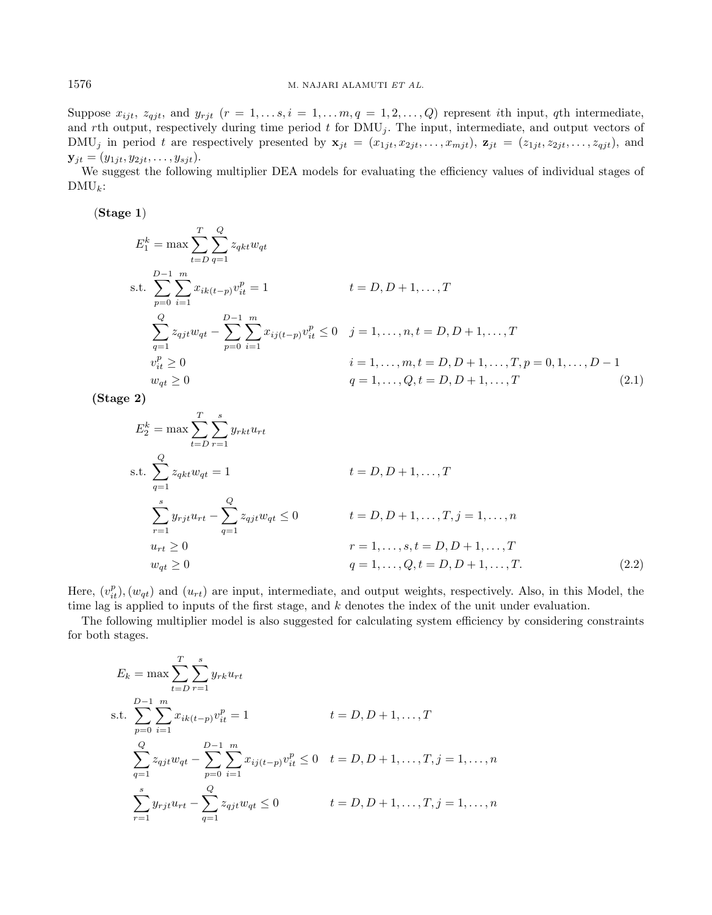Suppose  $x_{ijt}$ ,  $z_{qjt}$ , and  $y_{rjt}$   $(r = 1, \ldots s, i = 1, \ldots, m, q = 1, 2, \ldots, Q)$  represent ith input, qth intermediate, and rth output, respectively during time period  $t$  for  $\text{DMU}_j$ . The input, intermediate, and output vectors of DMU<sub>j</sub> in period t are respectively presented by  $\mathbf{x}_{jt} = (x_{1jt}, x_{2jt}, \ldots, x_{mjt})$ ,  $\mathbf{z}_{jt} = (z_{1jt}, z_{2jt}, \ldots, z_{qjt})$ , and  $\mathbf{y}_{it} = (y_{1it}, y_{2it}, \dots, y_{sit}).$ 

We suggest the following multiplier DEA models for evaluating the efficiency values of individual stages of  $DMU_k$ :

(Stage 1)

<span id="page-5-0"></span>
$$
E_1^k = \max \sum_{t=D}^{T} \sum_{q=1}^{Q} z_{qkt} w_{qt}
$$
  
s.t. 
$$
\sum_{p=0}^{D-1} \sum_{i=1}^{m} x_{ik(t-p)} v_{it}^p = 1
$$
  

$$
\sum_{q=1}^{Q} z_{qjt} w_{qt} - \sum_{p=0}^{D-1} \sum_{i=1}^{m} x_{ij(t-p)} v_{it}^p \le 0 \quad j = 1, ..., n, t = D, D+1, ..., T
$$
  

$$
v_{it}^p \ge 0
$$
  

$$
i = 1, ..., m, t = D, D+1, ..., T, p = 0, 1, ..., D-1
$$
  

$$
w_{qt} \ge 0
$$
  

$$
q = 1, ..., Q, t = D, D+1, ..., T
$$
 (2.1)

(Stage 2)

<span id="page-5-1"></span>
$$
E_2^k = \max \sum_{t=D} \sum_{r=1}^s y_{rkt} u_{rt}
$$
  
s.t. 
$$
\sum_{q=1}^Q z_{qkt} w_{qt} = 1
$$
  

$$
\sum_{r=1}^s y_{rjt} u_{rt} - \sum_{q=1}^Q z_{qjt} w_{qt} \le 0
$$
  

$$
t = D, D + 1, ..., T,
$$
  

$$
t = D, D + 1, ..., T, j = 1, ..., n
$$
  

$$
u_{rt} \ge 0
$$
  

$$
r = 1, ..., s, t = D, D + 1, ..., T
$$
  

$$
w_{qt} \ge 0
$$
  

$$
q = 1, ..., Q, t = D, D + 1, ..., T.
$$
  

$$
(2.2)
$$

Here,  $(v_{it}^p), (w_{qt})$  and  $(u_{rt})$  are input, intermediate, and output weights, respectively. Also, in this Model, the time lag is applied to inputs of the first stage, and  $k$  denotes the index of the unit under evaluation.

The following multiplier model is also suggested for calculating system efficiency by considering constraints for both stages.

$$
E_k = \max \sum_{t=D} \sum_{r=1}^{T} \sum_{y_{rk} u_{rt}}^{s} y_{rk} u_{rt}
$$
  
s.t. 
$$
\sum_{p=0}^{D-1} \sum_{i=1}^{m} x_{ik(t-p)} v_{it}^p = 1 \qquad t = D, D+1, ..., T
$$

$$
\sum_{q=1}^{Q} z_{qjt} w_{qt} - \sum_{p=0}^{D-1} \sum_{i=1}^{m} x_{ij(t-p)} v_{it}^p \le 0 \quad t = D, D+1, ..., T, j = 1, ..., n
$$

$$
\sum_{r=1}^{s} y_{rjt} u_{rt} - \sum_{q=1}^{Q} z_{qjt} w_{qt} \le 0 \qquad t = D, D+1, ..., T, j = 1, ..., n
$$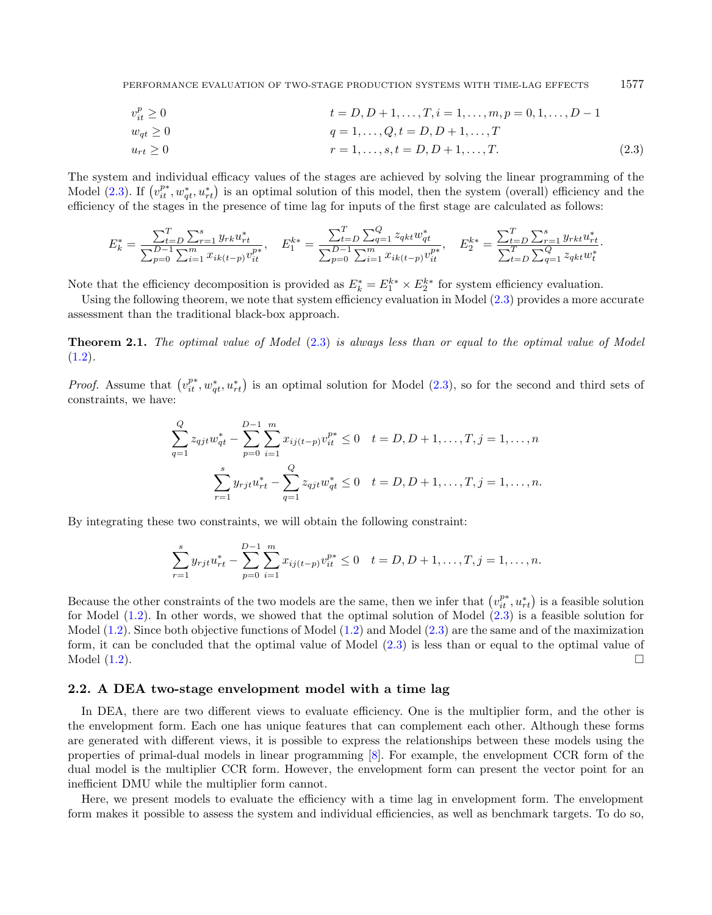<span id="page-6-0"></span>PERFORMANCE EVALUATION OF TWO-STAGE PRODUCTION SYSTEMS WITH TIME-LAG EFFECTS 1577

$$
v_{it}^p \ge 0
$$
\n
$$
t = D, D + 1, \dots, T, i = 1, \dots, m, p = 0, 1, \dots, D - 1
$$

$$
w_{qt} \ge 0 \qquad \qquad q = 1, \ldots, Q, t = D, D+1, \ldots, T
$$

$$
u_{rt} \ge 0 \t\t r = 1, ..., s, t = D, D + 1, ..., T.
$$
\t(2.3)

The system and individual efficacy values of the stages are achieved by solving the linear programming of the Model [\(2.3\)](#page-6-0). If  $(v_{it}^{p*}, w_{qt}^*, u_{rt}^*)$  is an optimal solution of this model, then the system (overall) efficiency and the efficiency of the stages in the presence of time lag for inputs of the first stage are calculated as follows:

$$
E_k^* = \frac{\sum_{t=D}^T \sum_{r=1}^s y_{rk} u_{rt}^*}{\sum_{p=0}^{D-1} \sum_{i=1}^m x_{ik(t-p)} v_{it}^{p*}}, \quad E_1^{k*} = \frac{\sum_{t=D}^T \sum_{q=1}^Q z_{qkt} w_{qt}^*}{\sum_{p=0}^{D-1} \sum_{i=1}^m x_{ik(t-p)} v_{it}^{p*}}, \quad E_2^{k*} = \frac{\sum_{t=D}^T \sum_{r=1}^S y_{rk} u_{rt}^*}{\sum_{t=D}^T \sum_{q=1}^Q z_{qkt} w_{t}^*}.
$$

Note that the efficiency decomposition is provided as  $E_k^* = E_1^{k*} \times E_2^{k*}$  for system efficiency evaluation.

Using the following theorem, we note that system efficiency evaluation in Model [\(2.3\)](#page-6-0) provides a more accurate assessment than the traditional black-box approach.

<span id="page-6-1"></span>**Theorem 2.1.** The optimal value of Model  $(2.3)$  is always less than or equal to the optimal value of Model  $(1.2).$  $(1.2).$ 

*Proof.* Assume that  $(v_{it}^{p*}, w_{qt}^*, u_{rt}^*)$  is an optimal solution for Model [\(2.3\)](#page-6-0), so for the second and third sets of constraints, we have:

$$
\sum_{q=1}^{Q} z_{qjt} w_{qt}^* - \sum_{p=0}^{D-1} \sum_{i=1}^{m} x_{ij(t-p)} v_{it}^{p*} \le 0 \quad t = D, D+1, \dots, T, j = 1, \dots, n
$$
  

$$
\sum_{r=1}^{s} y_{rjt} u_{rt}^* - \sum_{q=1}^{Q} z_{qjt} w_{qt}^* \le 0 \quad t = D, D+1, \dots, T, j = 1, \dots, n.
$$

By integrating these two constraints, we will obtain the following constraint:

$$
\sum_{r=1}^{s} y_{rjt} u_{rt}^* - \sum_{p=0}^{D-1} \sum_{i=1}^{m} x_{ij(t-p)} v_{it}^{p*} \le 0 \quad t = D, D+1, \dots, T, j = 1, \dots, n.
$$

Because the other constraints of the two models are the same, then we infer that  $(v_{it}^{p*}, u_{rt}^*)$  is a feasible solution for Model [\(1.2\)](#page-4-1). In other words, we showed that the optimal solution of Model [\(2.3\)](#page-6-0) is a feasible solution for Model [\(1.2\)](#page-4-1). Since both objective functions of Model [\(1.2\)](#page-4-1) and Model [\(2.3\)](#page-6-0) are the same and of the maximization form, it can be concluded that the optimal value of Model [\(2.3\)](#page-6-0) is less than or equal to the optimal value of Model  $(1.2)$ .

## 2.2. A DEA two-stage envelopment model with a time lag

In DEA, there are two different views to evaluate efficiency. One is the multiplier form, and the other is the envelopment form. Each one has unique features that can complement each other. Although these forms are generated with different views, it is possible to express the relationships between these models using the properties of primal-dual models in linear programming [\[8\]](#page-19-19). For example, the envelopment CCR form of the dual model is the multiplier CCR form. However, the envelopment form can present the vector point for an inefficient DMU while the multiplier form cannot.

Here, we present models to evaluate the efficiency with a time lag in envelopment form. The envelopment form makes it possible to assess the system and individual efficiencies, as well as benchmark targets. To do so,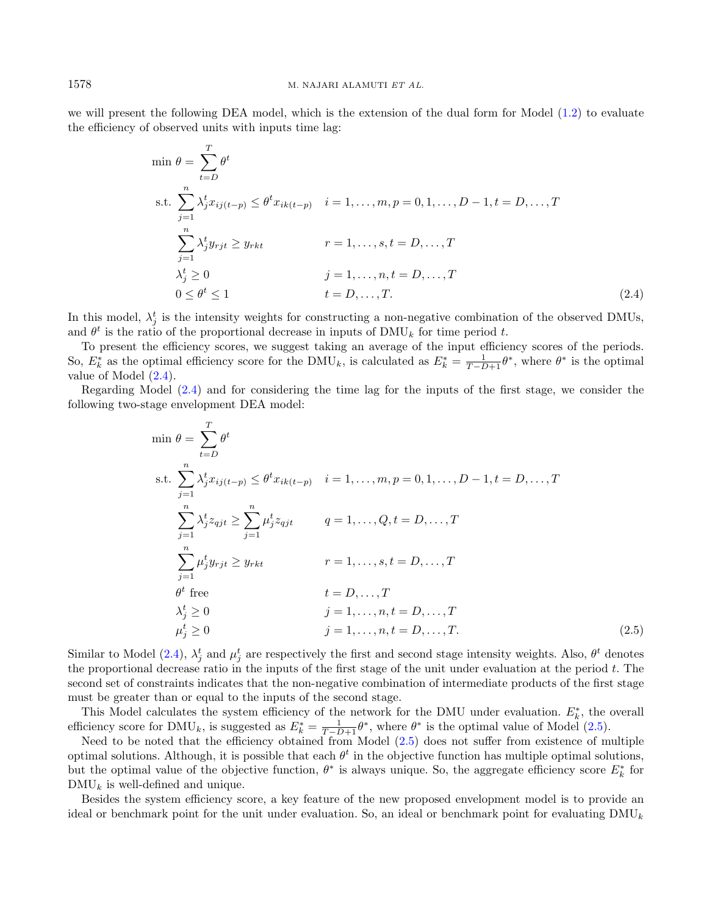we will present the following DEA model, which is the extension of the dual form for Model [\(1.2\)](#page-4-1) to evaluate the efficiency of observed units with inputs time lag:

<span id="page-7-0"></span>
$$
\min \theta = \sum_{t=D}^{T} \theta^t
$$
\n
$$
\text{s.t. } \sum_{j=1}^{n} \lambda_j^t x_{ij(t-p)} \le \theta^t x_{ik(t-p)} \quad i = 1, \dots, m, p = 0, 1, \dots, D - 1, t = D, \dots, T
$$
\n
$$
\sum_{j=1}^{n} \lambda_j^t y_{rjt} \ge y_{rkt} \qquad r = 1, \dots, s, t = D, \dots, T
$$
\n
$$
\lambda_j^t \ge 0 \qquad j = 1, \dots, n, t = D, \dots, T
$$
\n
$$
0 \le \theta^t \le 1 \qquad t = D, \dots, T. \tag{2.4}
$$

In this model,  $\lambda_j^t$  is the intensity weights for constructing a non-negative combination of the observed DMUs, and  $\theta^t$  is the ratio of the proportional decrease in inputs of  $\text{DMU}_k$  for time period t.

To present the efficiency scores, we suggest taking an average of the input efficiency scores of the periods. So,  $E_k^*$  as the optimal efficiency score for the DMU<sub>k</sub>, is calculated as  $E_k^* = \frac{1}{T-D+1} \theta^*$ , where  $\theta^*$  is the optimal value of Model [\(2.4\)](#page-7-0).

Regarding Model [\(2.4\)](#page-7-0) and for considering the time lag for the inputs of the first stage, we consider the following two-stage envelopment DEA model:

<span id="page-7-1"></span>
$$
\min \theta = \sum_{t=D}^{T} \theta^t
$$
\n
$$
\text{s.t. } \sum_{j=1}^{n} \lambda_j^t x_{ij(t-p)} \leq \theta^t x_{ik(t-p)} \quad i = 1, \dots, m, p = 0, 1, \dots, D-1, t = D, \dots, T
$$
\n
$$
\sum_{j=1}^{n} \lambda_j^t z_{qjt} \geq \sum_{j=1}^{n} \mu_j^t z_{qjt} \qquad q = 1, \dots, Q, t = D, \dots, T
$$
\n
$$
\sum_{j=1}^{n} \mu_j^t y_{rjt} \geq y_{rkt} \qquad r = 1, \dots, s, t = D, \dots, T
$$
\n
$$
\theta^t \text{ free} \qquad t = D, \dots, T
$$
\n
$$
\lambda_j^t \geq 0 \qquad j = 1, \dots, n, t = D, \dots, T
$$
\n
$$
\mu_j^t \geq 0 \qquad j = 1, \dots, n, t = D, \dots, T
$$
\n
$$
(2.5)
$$

Similar to Model [\(2.4\)](#page-7-0),  $\lambda_j^t$  and  $\mu_j^t$  are respectively the first and second stage intensity weights. Also,  $\theta^t$  denotes the proportional decrease ratio in the inputs of the first stage of the unit under evaluation at the period  $t$ . The second set of constraints indicates that the non-negative combination of intermediate products of the first stage must be greater than or equal to the inputs of the second stage.

This Model calculates the system efficiency of the network for the DMU under evaluation.  $E_k^*$ , the overall efficiency score for  $\text{DMU}_k$ , is suggested as  $E_k^* = \frac{1}{T-D+1} \theta^*$ , where  $\theta^*$  is the optimal value of Model [\(2.5\)](#page-7-1).

Need to be noted that the efficiency obtained from Model [\(2.5\)](#page-7-1) does not suffer from existence of multiple optimal solutions. Although, it is possible that each  $\theta^t$  in the objective function has multiple optimal solutions, but the optimal value of the objective function,  $\theta^*$  is always unique. So, the aggregate efficiency score  $E_k^*$  for  $\text{DMU}_k$  is well-defined and unique.

Besides the system efficiency score, a key feature of the new proposed envelopment model is to provide an ideal or benchmark point for the unit under evaluation. So, an ideal or benchmark point for evaluating  $\text{DMU}_k$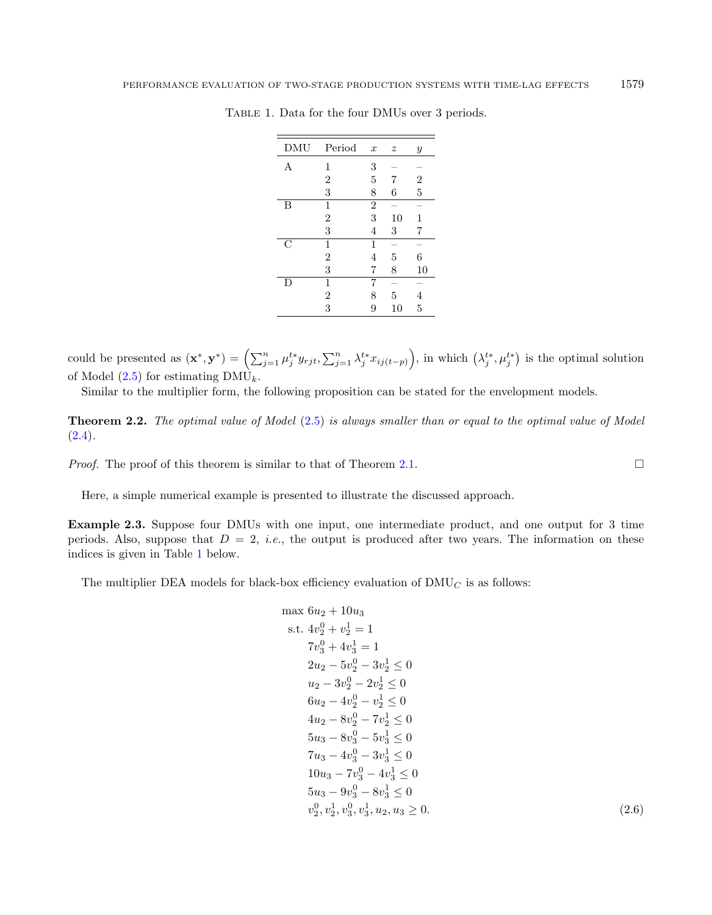| DMU           | Period         | $\boldsymbol{x}$ | $\boldsymbol{z}$ | $\mathcal{Y}$    |
|---------------|----------------|------------------|------------------|------------------|
| А             | 1              | 3                |                  |                  |
|               | $\overline{2}$ | 5                | 7                | $\boldsymbol{2}$ |
|               | 3              | 8                | 6                | $\overline{5}$   |
| В             | 1              | $\overline{2}$   |                  |                  |
|               | $\overline{2}$ | 3                | 10               | 1                |
|               | 3              | 4                | 3                | 7                |
| $\mathcal{C}$ | 1              | 1                |                  |                  |
|               | $\overline{2}$ | 4                | 5                | 6                |
|               | 3              | 7                | 8                | 10               |
| D             | 1              | 7                |                  |                  |
|               | $\overline{2}$ | 8                | 5                | 4                |
|               | 3              | 9                | 10               | 5                |

<span id="page-8-0"></span>Table 1. Data for the four DMUs over 3 periods.

could be presented as  $(\mathbf{x}^*, \mathbf{y}^*) = \left(\sum_{j=1}^n \mu_j^{t*} y_{rjt}, \sum_{j=1}^n \lambda_j^{t*} x_{ij(t-p)}\right)$ , in which  $(\lambda_j^{t*}, \mu_j^{t*})$  is the optimal solution of Model  $(2.5)$  for estimating DMU<sub>k</sub>.

Similar to the multiplier form, the following proposition can be stated for the envelopment models.

Theorem 2.2. The optimal value of Model [\(2.5\)](#page-7-1) is always smaller than or equal to the optimal value of Model  $(2.4).$  $(2.4).$ 

*Proof.* The proof of this theorem is similar to that of Theorem [2.1.](#page-6-1)  $\Box$ 

Here, a simple numerical example is presented to illustrate the discussed approach.

Example 2.3. Suppose four DMUs with one input, one intermediate product, and one output for 3 time periods. Also, suppose that  $D = 2$ , *i.e.*, the output is produced after two years. The information on these indices is given in Table [1](#page-8-0) below.

The multiplier DEA models for black-box efficiency evaluation of  $\text{DMU}_C$  is as follows:

$$
\max 6u_2 + 10u_3
$$
\n
$$
\text{s.t. } 4v_2^0 + v_2^1 = 1
$$
\n
$$
7v_3^0 + 4v_3^1 = 1
$$
\n
$$
2u_2 - 5v_2^0 - 3v_2^1 \le 0
$$
\n
$$
u_2 - 3v_2^0 - 2v_2^1 \le 0
$$
\n
$$
6u_2 - 4v_2^0 - v_2^1 \le 0
$$
\n
$$
4u_2 - 8v_2^0 - 7v_2^1 \le 0
$$
\n
$$
5u_3 - 8v_3^0 - 5v_3^1 \le 0
$$
\n
$$
7u_3 - 4v_3^0 - 3v_3^1 \le 0
$$
\n
$$
10u_3 - 7v_3^0 - 4v_3^1 \le 0
$$
\n
$$
5u_3 - 9v_3^0 - 8v_3^1 \le 0
$$
\n
$$
v_2^0, v_2^1, v_3^0, v_3^1, u_2, u_3 \ge 0.
$$
\n
$$
(2.6)
$$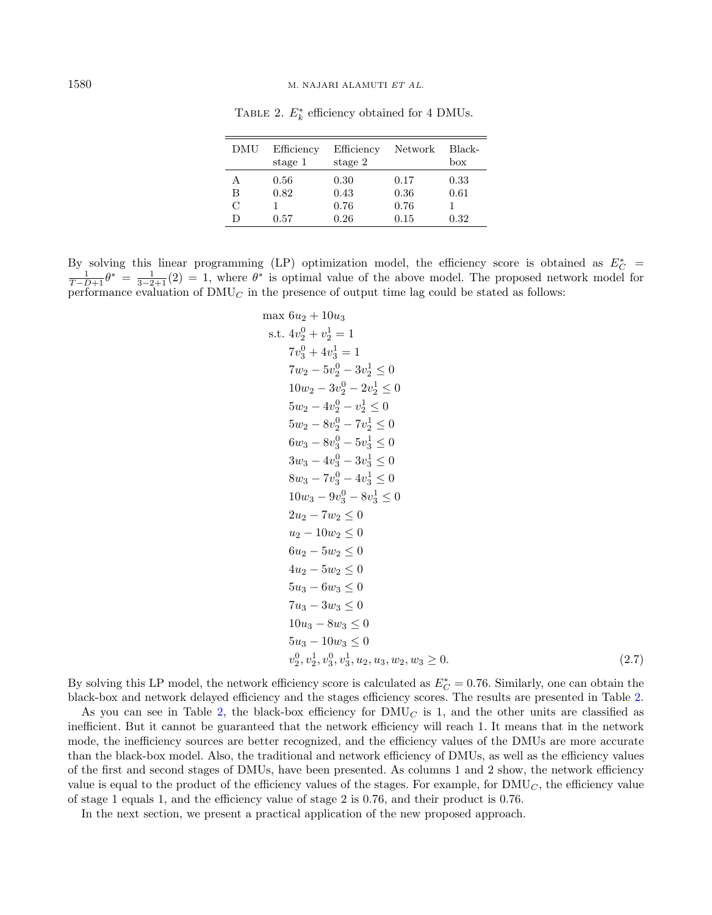| DMU           | Efficiency<br>stage 1 | Efficiency<br>stage 2 | Network | Black-<br>box |
|---------------|-----------------------|-----------------------|---------|---------------|
| А             | 0.56                  | 0.30                  | 0.17    | 0.33          |
| В             | 0.82                  | 0.43                  | 0.36    | 0.61          |
| $\mathcal{C}$ |                       | 0.76                  | 0.76    |               |
|               | 0.57                  | 0.26                  | 0.15    | 0.32          |

<span id="page-9-0"></span>TABLE 2.  $E_k^*$  efficiency obtained for 4 DMUs.

By solving this linear programming (LP) optimization model, the efficiency score is obtained as  $E_C^*$  $\frac{1}{T-D+1}\theta^* = \frac{1}{3-2+1}(2) = 1$ , where  $\theta^*$  is optimal value of the above model. The proposed network model for performance evaluation of  $\text{DMU}_C$  in the presence of output time lag could be stated as follows:

$$
\max 6u_2 + 10u_3
$$
\n
$$
\text{s.t. } 4v_2^0 + v_2^1 = 1
$$
\n
$$
7v_3^0 + 4v_3^1 = 1
$$
\n
$$
7w_2 - 5v_2^0 - 3v_2^1 \le 0
$$
\n
$$
10w_2 - 3v_2^0 - 2v_2^1 \le 0
$$
\n
$$
5w_2 - 4v_2^0 - v_2^1 \le 0
$$
\n
$$
5w_2 - 8v_2^0 - 7v_2^1 \le 0
$$
\n
$$
6w_3 - 8v_3^0 - 5v_3^1 \le 0
$$
\n
$$
3w_3 - 4v_3^0 - 3v_3^1 \le 0
$$
\n
$$
3w_3 - 7v_3^0 - 4v_3^1 \le 0
$$
\n
$$
8w_3 - 7v_3^0 - 4v_3^1 \le 0
$$
\n
$$
10w_3 - 9v_3^0 - 8v_3^1 \le 0
$$
\n
$$
2u_2 - 7w_2 \le 0
$$
\n
$$
u_2 - 10w_2 \le 0
$$
\n
$$
6u_2 - 5w_2 \le 0
$$
\n
$$
6u_2 - 5w_2 \le 0
$$
\n
$$
4u_2 - 5w_2 \le 0
$$
\n
$$
5u_3 - 6w_3 \le 0
$$
\n
$$
7u_3 - 3w_3 \le 0
$$
\n
$$
5u_3 - 10w_3 \le 0
$$
\n
$$
5u_3 - 10w_3 \le 0
$$
\n
$$
v_2^0, v_2^1, v_3^0, v_3^1, u_2, u_3, w_2, w_3 \ge 0.
$$
\n
$$
(2.7)
$$

By solving this LP model, the network efficiency score is calculated as  $E_C^* = 0.76$ . Similarly, one can obtain the black-box and network delayed efficiency and the stages efficiency scores. The results are presented in Table [2.](#page-9-0)

As you can see in Table [2,](#page-9-0) the black-box efficiency for  $\text{DMU}_C$  is 1, and the other units are classified as inefficient. But it cannot be guaranteed that the network efficiency will reach 1. It means that in the network mode, the inefficiency sources are better recognized, and the efficiency values of the DMUs are more accurate than the black-box model. Also, the traditional and network efficiency of DMUs, as well as the efficiency values of the first and second stages of DMUs, have been presented. As columns 1 and 2 show, the network efficiency value is equal to the product of the efficiency values of the stages. For example, for  $\text{DMU}_C$ , the efficiency value of stage 1 equals 1, and the efficiency value of stage 2 is 0.76, and their product is 0.76.

In the next section, we present a practical application of the new proposed approach.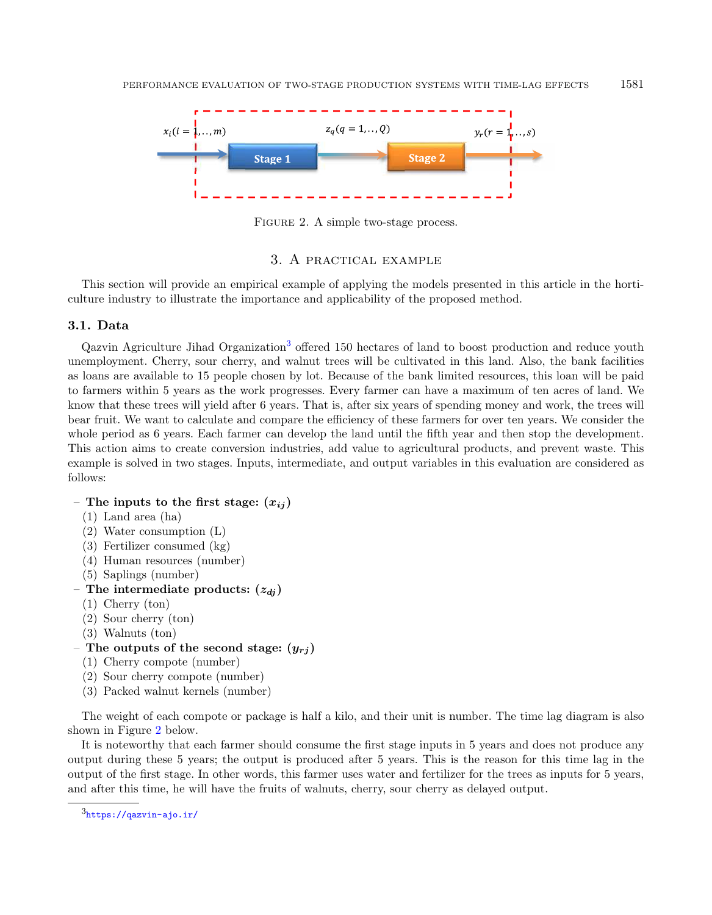

<span id="page-10-2"></span>FIGURE 2. A simple two-stage process.

## 3. A practical example

<span id="page-10-0"></span>This section will provide an empirical example of applying the models presented in this article in the horticulture industry to illustrate the importance and applicability of the proposed method.

## 3.1. Data

Qazvin Agriculture Jihad Organization<sup>[3](#page-10-1)</sup> offered 150 hectares of land to boost production and reduce youth unemployment. Cherry, sour cherry, and walnut trees will be cultivated in this land. Also, the bank facilities as loans are available to 15 people chosen by lot. Because of the bank limited resources, this loan will be paid to farmers within 5 years as the work progresses. Every farmer can have a maximum of ten acres of land. We know that these trees will yield after 6 years. That is, after six years of spending money and work, the trees will bear fruit. We want to calculate and compare the efficiency of these farmers for over ten years. We consider the whole period as 6 years. Each farmer can develop the land until the fifth year and then stop the development. This action aims to create conversion industries, add value to agricultural products, and prevent waste. This example is solved in two stages. Inputs, intermediate, and output variables in this evaluation are considered as follows:

- The inputs to the first stage:  $(x_{ii})$ 
	- (1) Land area (ha)
	- (2) Water consumption (L)
	- (3) Fertilizer consumed (kg)
	- (4) Human resources (number)
	- (5) Saplings (number)
- The intermediate products:  $(z_{di})$ 
	- (1) Cherry (ton)
	- (2) Sour cherry (ton)
	- (3) Walnuts (ton)
- <span id="page-10-1"></span>– The outputs of the second stage:  $(y_{ri})$ 
	- (1) Cherry compote (number)
	- (2) Sour cherry compote (number)
	- (3) Packed walnut kernels (number)

The weight of each compote or package is half a kilo, and their unit is number. The time lag diagram is also shown in Figure [2](#page-10-2) below.

It is noteworthy that each farmer should consume the first stage inputs in 5 years and does not produce any output during these 5 years; the output is produced after 5 years. This is the reason for this time lag in the output of the first stage. In other words, this farmer uses water and fertilizer for the trees as inputs for 5 years, and after this time, he will have the fruits of walnuts, cherry, sour cherry as delayed output.

 $3$ <https://qazvin-ajo.ir/>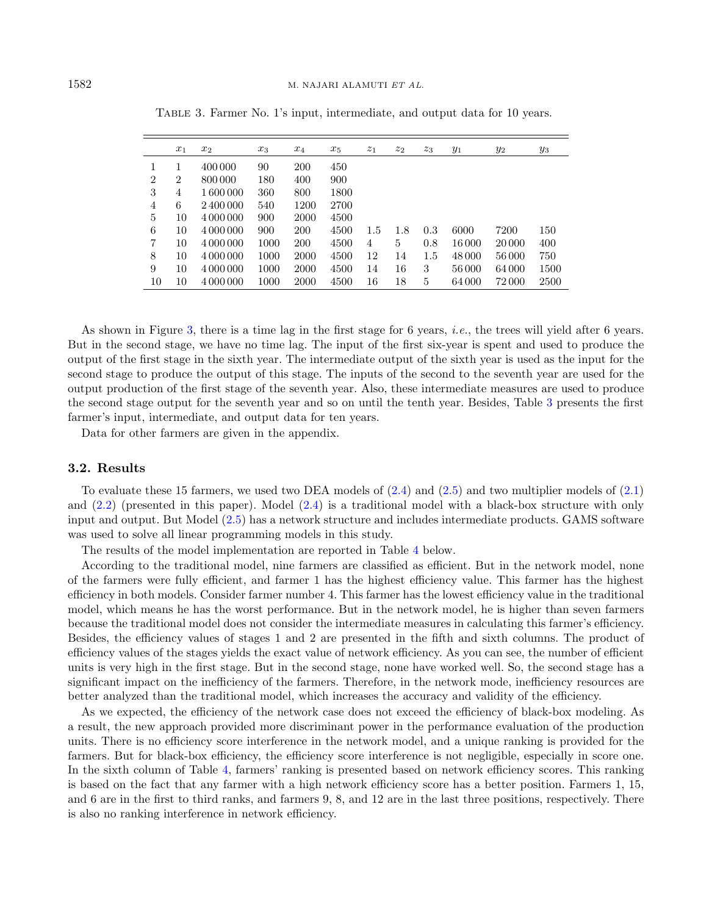|                | $x_1$          | $x_2$     | $x_3$ | $x_4$ | $x_5$ | $z_1$ | $z_2$ | $z_3$ | $y_1$  | $y_2$  | $y_3$ |
|----------------|----------------|-----------|-------|-------|-------|-------|-------|-------|--------|--------|-------|
|                |                | 400 000   | 90    | 200   | 450   |       |       |       |        |        |       |
| $\overline{2}$ | $\overline{2}$ | 800 000   | 180   | 400   | 900   |       |       |       |        |        |       |
| 3              | 4              | 1 600 000 | 360   | 800   | 1800  |       |       |       |        |        |       |
| 4              | 6              | 2400000   | 540   | 1200  | 2700  |       |       |       |        |        |       |
| 5              | 10             | 4 000 000 | 900   | 2000  | 4500  |       |       |       |        |        |       |
| 6              | 10             | 4 000 000 | 900   | 200   | 4500  | 1.5   | 1.8   | 0.3   | 6000   | 7200   | 150   |
| 7              | 10             | 4 000 000 | 1000  | 200   | 4500  | 4     | 5     | 0.8   | 16 000 | 20 000 | 400   |
| 8              | 10             | 4 000 000 | 1000  | 2000  | 4500  | 12    | 14    | 1.5   | 48 000 | 56 000 | 750   |
| 9              | 10             | 4 000 000 | 1000  | 2000  | 4500  | 14    | 16    | 3     | 56 000 | 64 000 | 1500  |
| 10             | 10             | 4 000 000 | 1000  | 2000  | 4500  | 16    | 18    | 5     | 64 000 | 72 000 | 2500  |

<span id="page-11-0"></span>Table 3. Farmer No. 1's input, intermediate, and output data for 10 years.

As shown in Figure [3,](#page-12-0) there is a time lag in the first stage for 6 years, i.e., the trees will yield after 6 years. But in the second stage, we have no time lag. The input of the first six-year is spent and used to produce the output of the first stage in the sixth year. The intermediate output of the sixth year is used as the input for the second stage to produce the output of this stage. The inputs of the second to the seventh year are used for the output production of the first stage of the seventh year. Also, these intermediate measures are used to produce the second stage output for the seventh year and so on until the tenth year. Besides, Table [3](#page-11-0) presents the first farmer's input, intermediate, and output data for ten years.

Data for other farmers are given in the appendix.

## 3.2. Results

To evaluate these 15 farmers, we used two DEA models of [\(2.4\)](#page-7-0) and [\(2.5\)](#page-7-1) and two multiplier models of [\(2.1\)](#page-5-0) and [\(2.2\)](#page-5-1) (presented in this paper). Model [\(2.4\)](#page-7-0) is a traditional model with a black-box structure with only input and output. But Model [\(2.5\)](#page-7-1) has a network structure and includes intermediate products. GAMS software was used to solve all linear programming models in this study.

The results of the model implementation are reported in Table [4](#page-13-0) below.

According to the traditional model, nine farmers are classified as efficient. But in the network model, none of the farmers were fully efficient, and farmer 1 has the highest efficiency value. This farmer has the highest efficiency in both models. Consider farmer number 4. This farmer has the lowest efficiency value in the traditional model, which means he has the worst performance. But in the network model, he is higher than seven farmers because the traditional model does not consider the intermediate measures in calculating this farmer's efficiency. Besides, the efficiency values of stages 1 and 2 are presented in the fifth and sixth columns. The product of efficiency values of the stages yields the exact value of network efficiency. As you can see, the number of efficient units is very high in the first stage. But in the second stage, none have worked well. So, the second stage has a significant impact on the inefficiency of the farmers. Therefore, in the network mode, inefficiency resources are better analyzed than the traditional model, which increases the accuracy and validity of the efficiency.

As we expected, the efficiency of the network case does not exceed the efficiency of black-box modeling. As a result, the new approach provided more discriminant power in the performance evaluation of the production units. There is no efficiency score interference in the network model, and a unique ranking is provided for the farmers. But for black-box efficiency, the efficiency score interference is not negligible, especially in score one. In the sixth column of Table [4,](#page-13-0) farmers' ranking is presented based on network efficiency scores. This ranking is based on the fact that any farmer with a high network efficiency score has a better position. Farmers 1, 15, and 6 are in the first to third ranks, and farmers 9, 8, and 12 are in the last three positions, respectively. There is also no ranking interference in network efficiency.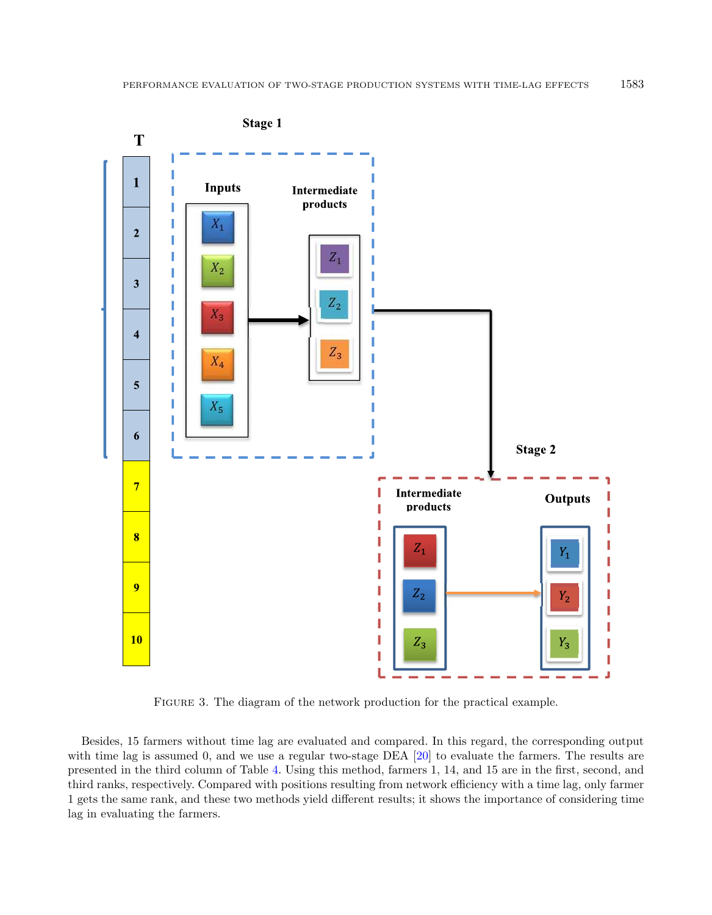

<span id="page-12-0"></span>Figure 3. The diagram of the network production for the practical example.

Besides, 15 farmers without time lag are evaluated and compared. In this regard, the corresponding output with time lag is assumed 0, and we use a regular two-stage DEA [\[20\]](#page-19-7) to evaluate the farmers. The results are presented in the third column of Table [4.](#page-13-0) Using this method, farmers 1, 14, and 15 are in the first, second, and third ranks, respectively. Compared with positions resulting from network efficiency with a time lag, only farmer 1 gets the same rank, and these two methods yield different results; it shows the importance of considering time lag in evaluating the farmers.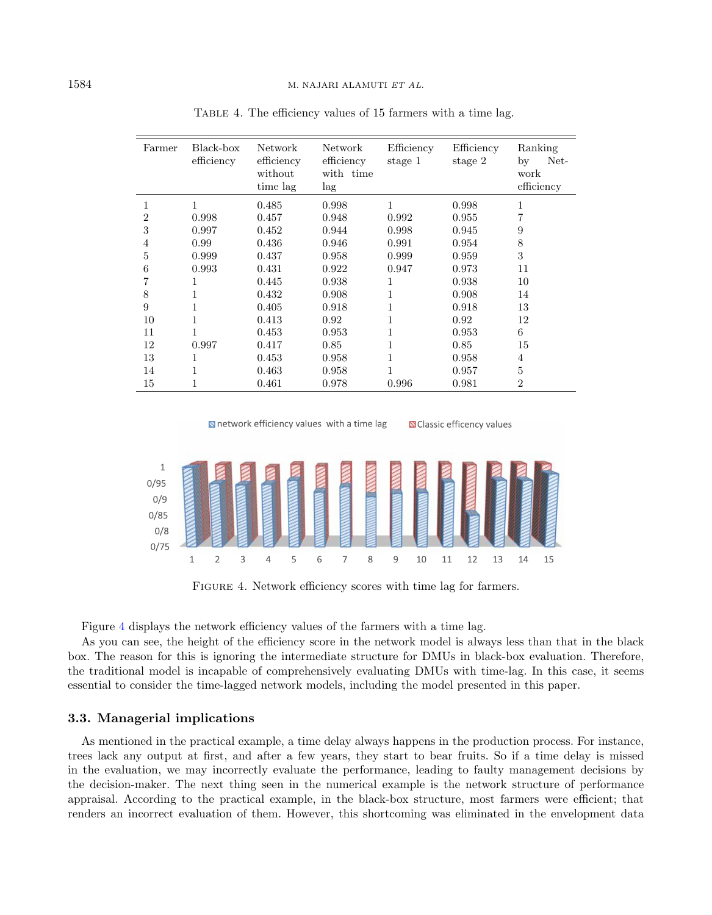| Farmer         | Black-box<br>efficiency | Network<br>efficiency<br>without<br>time lag | Network<br>efficiency<br>with time<br>lag | Efficiency<br>stage 1 | Efficiency<br>stage 2 | Ranking<br>Net-<br>by<br>work<br>efficiency |
|----------------|-------------------------|----------------------------------------------|-------------------------------------------|-----------------------|-----------------------|---------------------------------------------|
| 1              | 1                       | 0.485                                        | 0.998                                     | 1                     | 0.998                 | 1                                           |
| $\overline{2}$ | 0.998                   | 0.457                                        | 0.948                                     | 0.992                 | 0.955                 |                                             |
| 3              | 0.997                   | 0.452                                        | 0.944                                     | 0.998                 | 0.945                 | 9                                           |
| $\overline{4}$ | 0.99                    | 0.436                                        | 0.946                                     | 0.991                 | 0.954                 | 8                                           |
| 5              | 0.999                   | 0.437                                        | 0.958                                     | 0.999                 | 0.959                 | 3                                           |
| 6              | 0.993                   | 0.431                                        | 0.922                                     | 0.947                 | 0.973                 | 11                                          |
| 7              | 1                       | 0.445                                        | 0.938                                     | 1                     | 0.938                 | 10                                          |
| 8              | 1                       | 0.432                                        | 0.908                                     | 1                     | 0.908                 | 14                                          |
| 9              | 1                       | 0.405                                        | 0.918                                     | 1                     | 0.918                 | 13                                          |
| 10             |                         | 0.413                                        | 0.92                                      | 1                     | 0.92                  | 12                                          |
| 11             | 1                       | 0.453                                        | 0.953                                     |                       | 0.953                 | 6                                           |
| 12             | 0.997                   | 0.417                                        | 0.85                                      |                       | 0.85                  | 15                                          |
| 13             | 1                       | 0.453                                        | 0.958                                     |                       | 0.958                 | 4                                           |
| 14             | 1                       | 0.463                                        | 0.958                                     | 1                     | 0.957                 | 5                                           |
| 15             |                         | 0.461                                        | 0.978                                     | 0.996                 | 0.981                 | $\overline{2}$                              |

<span id="page-13-0"></span>Table 4. The efficiency values of 15 farmers with a time lag.

<span id="page-13-1"></span>

**N** Classic efficency values



FIGURE 4. Network efficiency scores with time lag for farmers.

Figure [4](#page-13-1) displays the network efficiency values of the farmers with a time lag.

As you can see, the height of the efficiency score in the network model is always less than that in the black box. The reason for this is ignoring the intermediate structure for DMUs in black-box evaluation. Therefore, the traditional model is incapable of comprehensively evaluating DMUs with time-lag. In this case, it seems essential to consider the time-lagged network models, including the model presented in this paper.

#### 3.3. Managerial implications

As mentioned in the practical example, a time delay always happens in the production process. For instance, trees lack any output at first, and after a few years, they start to bear fruits. So if a time delay is missed in the evaluation, we may incorrectly evaluate the performance, leading to faulty management decisions by the decision-maker. The next thing seen in the numerical example is the network structure of performance appraisal. According to the practical example, in the black-box structure, most farmers were efficient; that renders an incorrect evaluation of them. However, this shortcoming was eliminated in the envelopment data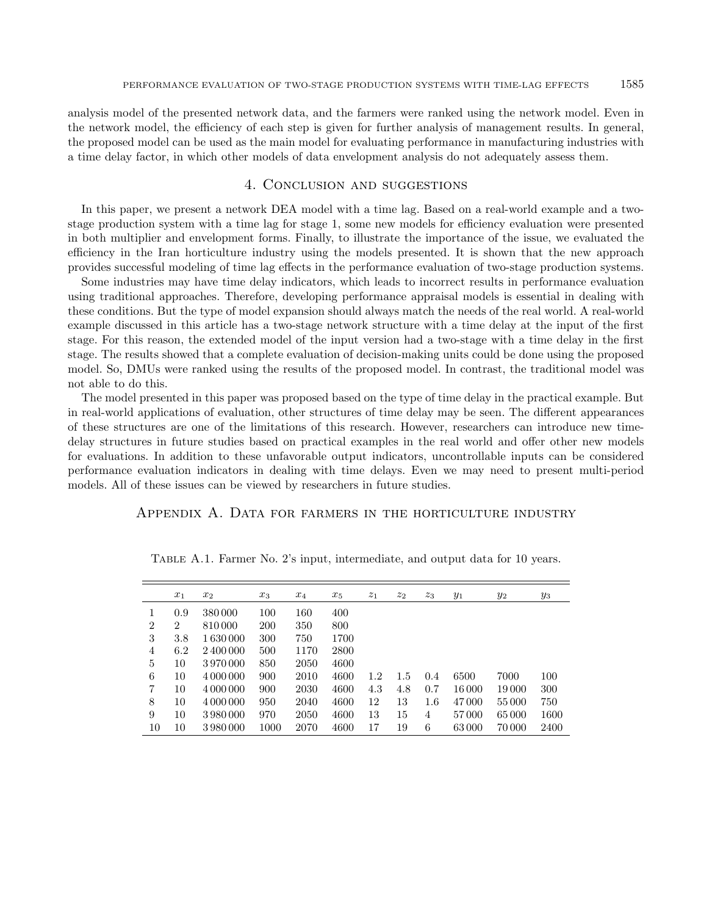analysis model of the presented network data, and the farmers were ranked using the network model. Even in the network model, the efficiency of each step is given for further analysis of management results. In general, the proposed model can be used as the main model for evaluating performance in manufacturing industries with a time delay factor, in which other models of data envelopment analysis do not adequately assess them.

## 4. Conclusion and suggestions

<span id="page-14-0"></span>In this paper, we present a network DEA model with a time lag. Based on a real-world example and a twostage production system with a time lag for stage 1, some new models for efficiency evaluation were presented in both multiplier and envelopment forms. Finally, to illustrate the importance of the issue, we evaluated the efficiency in the Iran horticulture industry using the models presented. It is shown that the new approach provides successful modeling of time lag effects in the performance evaluation of two-stage production systems.

Some industries may have time delay indicators, which leads to incorrect results in performance evaluation using traditional approaches. Therefore, developing performance appraisal models is essential in dealing with these conditions. But the type of model expansion should always match the needs of the real world. A real-world example discussed in this article has a two-stage network structure with a time delay at the input of the first stage. For this reason, the extended model of the input version had a two-stage with a time delay in the first stage. The results showed that a complete evaluation of decision-making units could be done using the proposed model. So, DMUs were ranked using the results of the proposed model. In contrast, the traditional model was not able to do this.

The model presented in this paper was proposed based on the type of time delay in the practical example. But in real-world applications of evaluation, other structures of time delay may be seen. The different appearances of these structures are one of the limitations of this research. However, researchers can introduce new timedelay structures in future studies based on practical examples in the real world and offer other new models for evaluations. In addition to these unfavorable output indicators, uncontrollable inputs can be considered performance evaluation indicators in dealing with time delays. Even we may need to present multi-period models. All of these issues can be viewed by researchers in future studies.

## Appendix A. Data for farmers in the horticulture industry

|                | $x_1$ | $x_2$     | $x_3$ | $x_4$ | $x_5$ | $z_1$ | $z_2$ | $z_3$   | $y_1$  | $y_2$  | $y_3$ |
|----------------|-------|-----------|-------|-------|-------|-------|-------|---------|--------|--------|-------|
|                | 0.9   | 380 000   | 100   | 160   | 400   |       |       |         |        |        |       |
| 2              | 2     | 810000    | 200   | 350   | 800   |       |       |         |        |        |       |
| 3              | 3.8   | 1630000   | 300   | 750   | 1700  |       |       |         |        |        |       |
| 4              | 6.2   | 2400000   | 500   | 1170  | 2800  |       |       |         |        |        |       |
| 5              | 10    | 3970000   | 850   | 2050  | 4600  |       |       |         |        |        |       |
| 6              | 10    | 4 000 000 | 900   | 2010  | 4600  | 1.2   | 1.5   | 0.4     | 6500   | 7000   | 100   |
| $\overline{7}$ | 10    | 4 000 000 | 900   | 2030  | 4600  | 4.3   | 4.8   | 0.7     | 16 000 | 19 000 | 300   |
| 8              | 10    | 4 000 000 | 950   | 2040  | 4600  | 12    | 13    | $1.6\,$ | 47000  | 55 000 | 750   |
| 9              | 10    | 3980000   | 970   | 2050  | 4600  | 13    | 15    | 4       | 57000  | 65000  | 1600  |
| 10             | 10    | 3980000   | 1000  | 2070  | 4600  | 17    | 19    | 6       | 63000  | 70 000 | 2400  |
|                |       |           |       |       |       |       |       |         |        |        |       |

Table A.1. Farmer No. 2's input, intermediate, and output data for 10 years.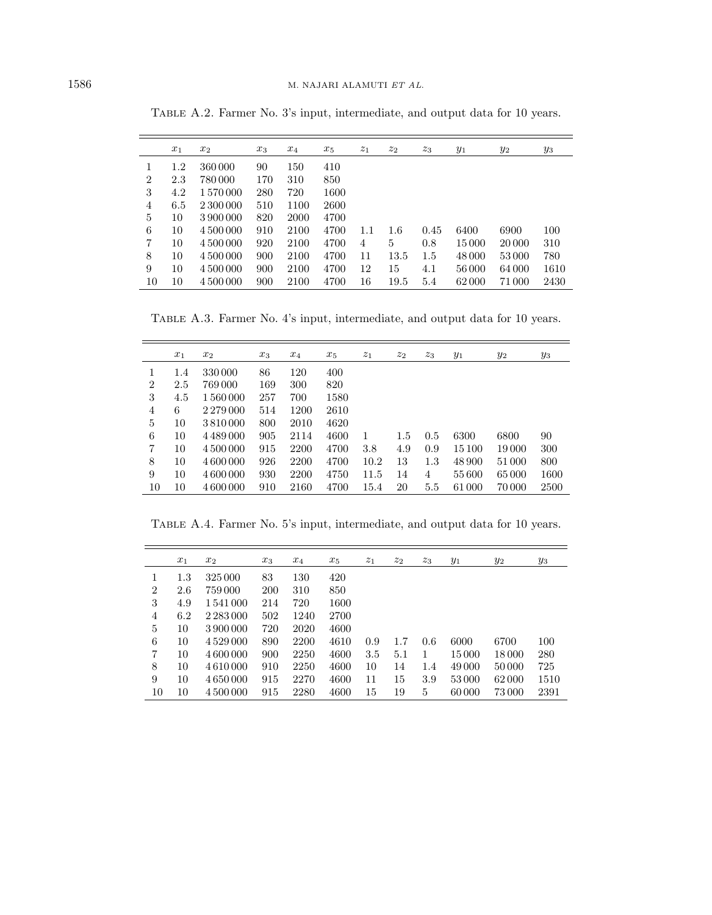|                | $x_1$ | $x_2$     | $x_3$ | $x_4$ | $x_5$ | $z_1$ | $\mathstrut z_2$ | $z_3$ | $y_1$  | $y_2$  | $y_3$ |
|----------------|-------|-----------|-------|-------|-------|-------|------------------|-------|--------|--------|-------|
|                | 1.2   | 360 000   | 90    | 150   | 410   |       |                  |       |        |        |       |
| $\overline{2}$ | 2.3   | 780 000   | 170   | 310   | 850   |       |                  |       |        |        |       |
| 3              | 4.2   | 1570000   | 280   | 720   | 1600  |       |                  |       |        |        |       |
| 4              | 6.5   | 2 300 000 | 510   | 1100  | 2600  |       |                  |       |        |        |       |
| 5              | 10    | 3900000   | 820   | 2000  | 4700  |       |                  |       |        |        |       |
| 6              | 10    | 4 500 000 | 910   | 2100  | 4700  | 1.1   | 1.6              | 0.45  | 6400   | 6900   | 100   |
| $\overline{7}$ | 10    | 4 500 000 | 920   | 2100  | 4700  | 4     | 5                | 0.8   | 15 000 | 20 000 | 310   |
| 8              | 10    | 4 500 000 | 900   | 2100  | 4700  | 11    | 13.5             | 1.5   | 48 000 | 53 000 | 780   |
| 9              | 10    | 4 500 000 | 900   | 2100  | 4700  | 12    | 15               | 4.1   | 56 000 | 64 000 | 1610  |
| 10             | 10    | 4 500 000 | 900   | 2100  | 4700  | 16    | 19.5             | 5.4   | 62000  | 71000  | 2430  |

Table A.2. Farmer No. 3's input, intermediate, and output data for 10 years.

Table A.3. Farmer No. 4's input, intermediate, and output data for 10 years.

|    | $x_1$ | $x_2$         | $x_3$ | $x_4$ | $x_5$ | $\overline{z_1}$ | $z_2$   | $z_3$ | $y_1$  | $y_2$  | $y_3$ |
|----|-------|---------------|-------|-------|-------|------------------|---------|-------|--------|--------|-------|
| 1  | 1.4   | 330 000       | 86    | 120   | 400   |                  |         |       |        |        |       |
| 2  | 2.5   | 769 000       | 169   | 300   | 820   |                  |         |       |        |        |       |
| 3  | 4.5   | 1560000       | 257   | 700   | 1580  |                  |         |       |        |        |       |
| 4  | 6     | 2 2 7 9 0 0 0 | 514   | 1200  | 2610  |                  |         |       |        |        |       |
| 5  | 10    | 3810000       | 800   | 2010  | 4620  |                  |         |       |        |        |       |
| 6  | 10    | 4489000       | 905   | 2114  | 4600  | 1                | $1.5\,$ | 0.5   | 6300   | 6800   | 90    |
| 7  | 10    | 4500000       | 915   | 2200  | 4700  | 3.8              | 4.9     | 0.9   | 15 100 | 19 000 | 300   |
| 8  | 10    | 4 600 000     | 926   | 2200  | 4700  | 10.2             | 13      | 1.3   | 48 900 | 51 000 | 800   |
| 9  | 10    | 4 600 000     | 930   | 2200  | 4750  | 11.5             | 14      | 4     | 55 600 | 65 000 | 1600  |
| 10 | 10    | 4 600 000     | 910   | 2160  | 4700  | 15.4             | 20      | 5.5   | 61 000 | 70 000 | 2500  |

Table A.4. Farmer No. 5's input, intermediate, and output data for 10 years.

|                | $x_1$   | $x_2$         | $x_3$ | $x_4$ | $x_5$ | $z_1$ | $z_2$ | $z_3$ | $y_1$  | $y_2$  | $y_3$ |
|----------------|---------|---------------|-------|-------|-------|-------|-------|-------|--------|--------|-------|
| 1              | $1.3\,$ | 325 000       | 83    | 130   | 420   |       |       |       |        |        |       |
| $\overline{2}$ | 2.6     | 759 000       | 200   | 310   | 850   |       |       |       |        |        |       |
| 3              | 4.9     | 1541000       | 214   | 720   | 1600  |       |       |       |        |        |       |
| 4              | 6.2     | 2 2 8 3 0 0 0 | 502   | 1240  | 2700  |       |       |       |        |        |       |
| 5              | 10      | 3 900 000     | 720   | 2020  | 4600  |       |       |       |        |        |       |
| 6              | 10      | 4 5 29 0 0 0  | 890   | 2200  | 4610  | 0.9   | 1.7   | 0.6   | 6000   | 6700   | 100   |
| $\overline{7}$ | 10      | 4 600 000     | 900   | 2250  | 4600  | 3.5   | 5.1   | 1     | 15 000 | 18 000 | 280   |
| 8              | 10      | 4610000       | 910   | 2250  | 4600  | 10    | 14    | 1.4   | 49 000 | 50000  | 725   |
| 9              | 10      | 4 650 000     | 915   | 2270  | 4600  | 11    | 15    | 3.9   | 53 000 | 62000  | 1510  |
| 10             | 10      | 4 500 000     | 915   | 2280  | 4600  | 15    | 19    | 5     | 60 000 | 73 000 | 2391  |

 $\overline{a}$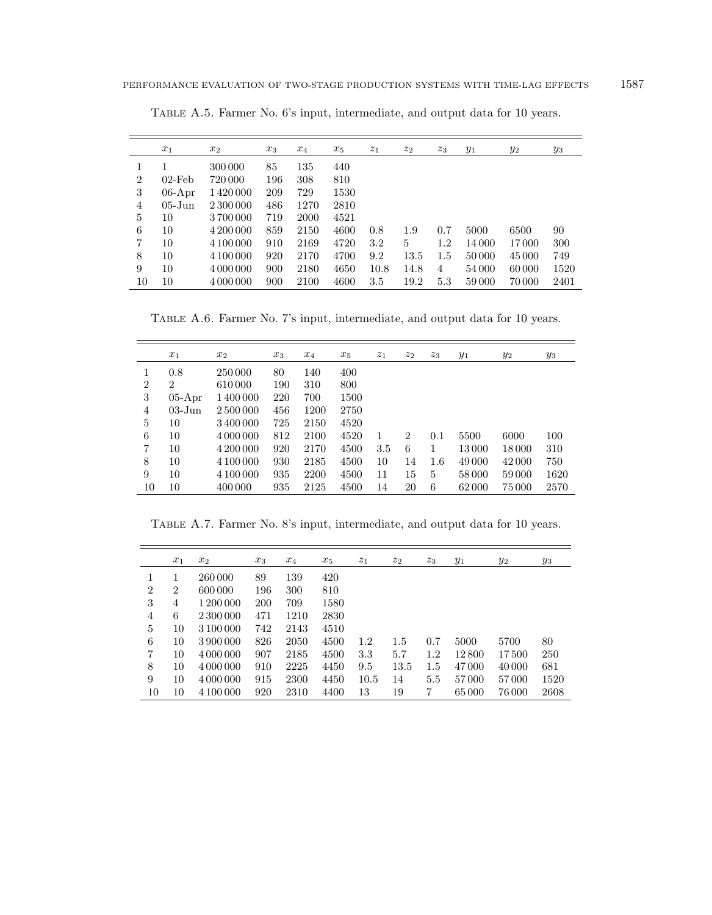|                | $x_1$      | $x_2$     | $x_3$ | $x_4$ | $x_5$ | $\overline{z_1}$ | $z_2$ | $z_3$ | $y_1$  | $y_2$  | $y_3$ |
|----------------|------------|-----------|-------|-------|-------|------------------|-------|-------|--------|--------|-------|
|                |            | 300 000   | 85    | 135   | 440   |                  |       |       |        |        |       |
| $\overline{2}$ | $02$ -Feb  | 720 000   | 196   | 308   | 810   |                  |       |       |        |        |       |
| 3              | $06$ -Apr  | 1420000   | 209   | 729   | 1530  |                  |       |       |        |        |       |
| 4              | $05 - Jun$ | 2 300 000 | 486   | 1270  | 2810  |                  |       |       |        |        |       |
| 5              | 10         | 3700000   | 719   | 2000  | 4521  |                  |       |       |        |        |       |
| 6              | 10         | 4 200 000 | 859   | 2150  | 4600  | 0.8              | 1.9   | 0.7   | 5000   | 6500   | 90    |
| $\overline{7}$ | 10         | 4 100 000 | 910   | 2169  | 4720  | 3.2              | 5     | 1.2   | 14 000 | 17000  | 300   |
| 8              | 10         | 4 100 000 | 920   | 2170  | 4700  | 9.2              | 13.5  | 1.5   | 50 000 | 45 000 | 749   |
| 9              | 10         | 4 000 000 | 900   | 2180  | 4650  | 10.8             | 14.8  | 4     | 54 000 | 60000  | 1520  |
| 10             | 10         | 4 000 000 | 900   | 2100  | 4600  | 3.5              | 19.2  | 5.3   | 59000  | 70000  | 2401  |

Table A.5. Farmer No. 6's input, intermediate, and output data for 10 years.

Table A.6. Farmer No. 7's input, intermediate, and output data for 10 years.

|    | $x_1$          | $x_2$     | $x_3$ | $x_4$ | $x_5$ | $\overline{z_1}$ | $z_2$          | $z_3$ | $y_1$  | $y_2$  | $y_3$ |
|----|----------------|-----------|-------|-------|-------|------------------|----------------|-------|--------|--------|-------|
| 1  | 0.8            | 250 000   | 80    | 140   | 400   |                  |                |       |        |        |       |
| 2  | $\overline{2}$ | 610000    | 190   | 310   | 800   |                  |                |       |        |        |       |
| 3  | $05-Apr$       | 1400000   | 220   | 700   | 1500  |                  |                |       |        |        |       |
| 4  | $03 - Jun$     | 2 500 000 | 456   | 1200  | 2750  |                  |                |       |        |        |       |
| 5  | 10             | 3400000   | 725   | 2150  | 4520  |                  |                |       |        |        |       |
| 6  | 10             | 4 000 000 | 812   | 2100  | 4520  | 1                | $\overline{2}$ | 0.1   | 5500   | 6000   | 100   |
| 7  | 10             | 4 200 000 | 920   | 2170  | 4500  | 3.5              | 6              | 1     | 13000  | 18 000 | 310   |
| 8  | 10             | 4 100 000 | 930   | 2185  | 4500  | 10               | 14             | 1.6   | 49 000 | 42 000 | 750   |
| 9  | 10             | 4 100 000 | 935   | 2200  | 4500  | 11               | 15             | 5     | 58000  | 59000  | 1620  |
| 10 | 10             | 400 000   | 935   | 2125  | 4500  | 14               | 20             | 6     | 62000  | 75 000 | 2570  |

Table A.7. Farmer No. 8's input, intermediate, and output data for 10 years.

|                | $x_1$          | $x_2$     | $x_3$      | $x_4$ | $x_5$ | $z_1$ | $z_2$   | $z_3$ | $y_1$ | $y_2$  | $y_3$ |
|----------------|----------------|-----------|------------|-------|-------|-------|---------|-------|-------|--------|-------|
| 1              |                | 260 000   | 89         | 139   | 420   |       |         |       |       |        |       |
| $\overline{2}$ | $\overline{2}$ | 600 000   | 196        | 300   | 810   |       |         |       |       |        |       |
| 3              | 4              | 1 200 000 | <b>200</b> | 709   | 1580  |       |         |       |       |        |       |
| $\overline{4}$ | 6              | 2 300 000 | 471        | 1210  | 2830  |       |         |       |       |        |       |
| 5              | 10             | 3 100 000 | 742        | 2143  | 4510  |       |         |       |       |        |       |
| 6              | 10             | 3 900 000 | 826        | 2050  | 4500  | 1.2   | $1.5\,$ | 0.7   | 5000  | 5700   | 80    |
| $\overline{7}$ | 10             | 4 000 000 | 907        | 2185  | 4500  | 3.3   | 5.7     | 1.2   | 12800 | 17500  | 250   |
| 8              | 10             | 4 000 000 | 910        | 2225  | 4450  | 9.5   | 13.5    | 1.5   | 47000 | 40 000 | 681   |
| 9              | 10             | 4 000 000 | 915        | 2300  | 4450  | 10.5  | 14      | 5.5   | 57000 | 57000  | 1520  |
| 10             | 10             | 4 100 000 | 920        | 2310  | 4400  | 13    | 19      | 7     | 65000 | 76 000 | 2608  |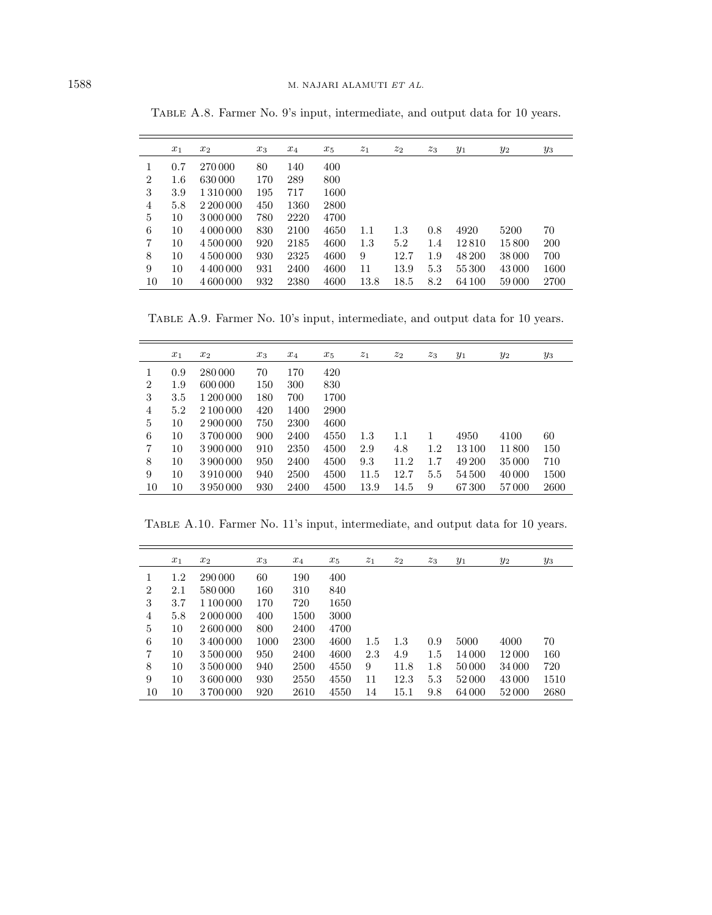|                | $x_1$   | $x_2$     | $x_3$ | $x_4$ | $x_5$ | $z_1$   | $z_2$ | $z_3$ | $y_1$  | $y_2$  | $y_3$ |
|----------------|---------|-----------|-------|-------|-------|---------|-------|-------|--------|--------|-------|
|                | 0.7     | 270 000   | 80    | 140   | 400   |         |       |       |        |        |       |
| $\overline{2}$ | $1.6\,$ | 630 000   | 170   | 289   | 800   |         |       |       |        |        |       |
| 3              | 3.9     | 1 310 000 | 195   | 717   | 1600  |         |       |       |        |        |       |
| 4              | 5.8     | 2 200 000 | 450   | 1360  | 2800  |         |       |       |        |        |       |
| 5              | 10      | 3 000 000 | 780   | 2220  | 4700  |         |       |       |        |        |       |
| 6              | 10      | 4 000 000 | 830   | 2100  | 4650  | $1.1\,$ | 1.3   | 0.8   | 4920   | 5200   | 70    |
| 7              | 10      | 4 500 000 | 920   | 2185  | 4600  | 1.3     | 5.2   | 1.4   | 12810  | 15800  | 200   |
| 8              | 10      | 4 500 000 | 930   | 2325  | 4600  | 9       | 12.7  | 1.9   | 48 200 | 38 000 | 700   |
| 9              | 10      | 4 400 000 | 931   | 2400  | 4600  | 11      | 13.9  | 5.3   | 55 300 | 43 000 | 1600  |
| 10             | 10      | 4 600 000 | 932   | 2380  | 4600  | 13.8    | 18.5  | 8.2   | 64 100 | 59000  | 2700  |

Table A.8. Farmer No. 9's input, intermediate, and output data for 10 years.

 $\overline{\phantom{0}}$ 

Table A.9. Farmer No. 10's input, intermediate, and output data for 10 years.

|                | $x_1$ | $x_2$     | $x_3$ | $x_4$ | $x_5$ | $\overline{z_1}$ | $z_2$   | $z_3$ | $y_1$  | $y_2$  | $y_3$ |
|----------------|-------|-----------|-------|-------|-------|------------------|---------|-------|--------|--------|-------|
| 1              | 0.9   | 280 000   | 70    | 170   | 420   |                  |         |       |        |        |       |
| $\overline{2}$ | 1.9   | 600 000   | 150   | 300   | 830   |                  |         |       |        |        |       |
| 3              | 3.5   | 1 200 000 | 180   | 700   | 1700  |                  |         |       |        |        |       |
| 4              | 5.2   | 2 100 000 | 420   | 1400  | 2900  |                  |         |       |        |        |       |
| 5              | 10    | 2 900 000 | 750   | 2300  | 4600  |                  |         |       |        |        |       |
| 6              | 10    | 3700000   | 900   | 2400  | 4550  | 1.3              | $1.1\,$ | 1     | 4950   | 4100   | 60    |
| 7              | 10    | 3 900 000 | 910   | 2350  | 4500  | 2.9              | 4.8     | 1.2   | 13 100 | 11800  | 150   |
| 8              | 10    | 3 900 000 | 950   | 2400  | 4500  | 9.3              | 11.2    | 1.7   | 49 200 | 35 000 | 710   |
| 9              | 10    | 3910000   | 940   | 2500  | 4500  | 11.5             | 12.7    | 5.5   | 54500  | 40 000 | 1500  |
| 10             | 10    | 3950000   | 930   | 2400  | 4500  | 13.9             | 14.5    | 9     | 67300  | 57000  | 2600  |

Table A.10. Farmer No. 11's input, intermediate, and output data for 10 years.

|                | $x_1$   | $x_2$     | $x_3$ | $x_4$ | $x_5$ | $z_1$ | $z_2$   | $z_3$ | $y_1$  | $y_2$  | $y_3$ |
|----------------|---------|-----------|-------|-------|-------|-------|---------|-------|--------|--------|-------|
|                | $1.2\,$ | 290 000   | 60    | 190   | 400   |       |         |       |        |        |       |
| $\overline{2}$ | 2.1     | 580 000   | 160   | 310   | 840   |       |         |       |        |        |       |
| 3              | 3.7     | 1 100 000 | 170   | 720   | 1650  |       |         |       |        |        |       |
| 4              | 5.8     | 2 000 000 | 400   | 1500  | 3000  |       |         |       |        |        |       |
| 5              | 10      | 2600000   | 800   | 2400  | 4700  |       |         |       |        |        |       |
| 6              | 10      | 3400000   | 1000  | 2300  | 4600  | 1.5   | $1.3\,$ | 0.9   | 5000   | 4000   | 70    |
| 7              | 10      | 3500000   | 950   | 2400  | 4600  | 2.3   | 4.9     | 1.5   | 14 000 | 12 000 | 160   |
| 8              | 10      | 3500000   | 940   | 2500  | 4550  | 9     | 11.8    | 1.8   | 50 000 | 34 000 | 720   |
| 9              | 10      | 3600000   | 930   | 2550  | 4550  | 11    | 12.3    | 5.3   | 52000  | 43 000 | 1510  |
| 10             | 10      | 3700000   | 920   | 2610  | 4550  | 14    | 15.1    | 9.8   | 64 000 | 52000  | 2680  |

 $\equiv$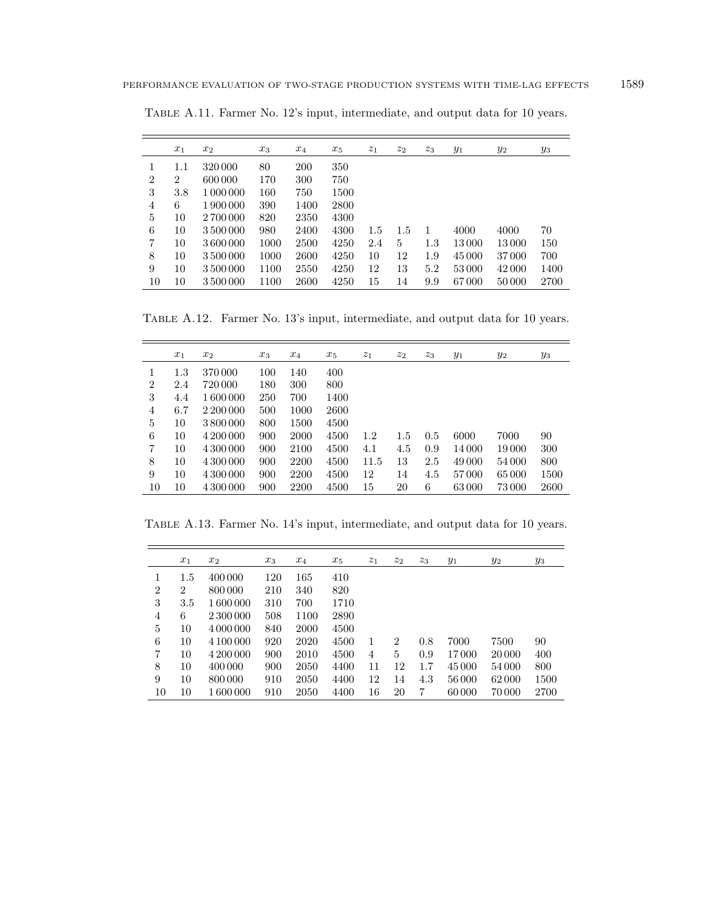|    | $x_1$          | $x_2$     | $x_3$ | $x_4$ | $x_5$ | $z_1$ | $z_2$ | $z_3$   | $y_1$  | $y_2$ | $y_3$ |
|----|----------------|-----------|-------|-------|-------|-------|-------|---------|--------|-------|-------|
|    | $1.1\,$        | 320 000   | 80    | 200   | 350   |       |       |         |        |       |       |
| 2  | $\overline{2}$ | 600 000   | 170   | 300   | 750   |       |       |         |        |       |       |
| 3  | 3.8            | 1 000 000 | 160   | 750   | 1500  |       |       |         |        |       |       |
| 4  | 6              | 1900000   | 390   | 1400  | 2800  |       |       |         |        |       |       |
| 5  | 10             | 2700000   | 820   | 2350  | 4300  |       |       |         |        |       |       |
| 6  | 10             | 3 500 000 | 980   | 2400  | 4300  | 1.5   | 1.5   | -1      | 4000   | 4000  | 70    |
| 7  | 10             | 3600000   | 1000  | 2500  | 4250  | 2.4   | 5     | $1.3\,$ | 13 000 | 13000 | 150   |
| 8  | 10             | 3500000   | 1000  | 2600  | 4250  | 10    | 12    | 1.9     | 45 000 | 37000 | 700   |
| 9  | 10             | 3500000   | 1100  | 2550  | 4250  | 12    | 13    | 5.2     | 53000  | 42000 | 1400  |
| 10 | 10             | 3500000   | 1100  | 2600  | 4250  | 15    | 14    | 9.9     | 67000  | 50000 | 2700  |

Table A.11. Farmer No. 12's input, intermediate, and output data for 10 years.

Table A.12. Farmer No. 13's input, intermediate, and output data for 10 years.

|    | $x_1$   | $x_2$     | $x_3$ | $x_4$ | $x_5$ | $z_1$ | $z_2$   | $z_3$ | $y_1$  | $y_2$  | $y_3$ |
|----|---------|-----------|-------|-------|-------|-------|---------|-------|--------|--------|-------|
| 1  | $1.3\,$ | 370 000   | 100   | 140   | 400   |       |         |       |        |        |       |
| 2  | 2.4     | 720 000   | 180   | 300   | 800   |       |         |       |        |        |       |
| 3  | 4.4     | 1600000   | 250   | 700   | 1400  |       |         |       |        |        |       |
| 4  | 6.7     | 2 200 000 | 500   | 1000  | 2600  |       |         |       |        |        |       |
| 5  | 10      | 3800000   | 800   | 1500  | 4500  |       |         |       |        |        |       |
| 6  | 10      | 4 200 000 | 900   | 2000  | 4500  | 1.2   | $1.5\,$ | 0.5   | 6000   | 7000   | 90    |
| 7  | 10      | 4 300 000 | 900   | 2100  | 4500  | 4.1   | 4.5     | 0.9   | 14 000 | 19 000 | 300   |
| 8  | 10      | 4 300 000 | 900   | 2200  | 4500  | 11.5  | 13      | 2.5   | 49 000 | 54 000 | 800   |
| 9  | 10      | 4 300 000 | 900   | 2200  | 4500  | 12    | 14      | 4.5   | 57000  | 65000  | 1500  |
| 10 | 10      | 4 300 000 | 900   | 2200  | 4500  | 15    | 20      | 6     | 63000  | 73000  | 2600  |

Table A.13. Farmer No. 14's input, intermediate, and output data for 10 years.

|                | $x_1$          | $x_2$     | $x_3$ | $x_4$ | $x_5$ | $\overline{z_1}$ | $z_2$          | $z_3$ | $y_1$  | $y_2$  | $y_3$ |
|----------------|----------------|-----------|-------|-------|-------|------------------|----------------|-------|--------|--------|-------|
| 1              | $1.5\,$        | 400 000   | 120   | 165   | 410   |                  |                |       |        |        |       |
| 2              | $\overline{2}$ | 800 000   | 210   | 340   | 820   |                  |                |       |        |        |       |
| 3              | 3.5            | 1600000   | 310   | 700   | 1710  |                  |                |       |        |        |       |
| 4              | 6              | 2 300 000 | 508   | 1100  | 2890  |                  |                |       |        |        |       |
| 5              | 10             | 4 000 000 | 840   | 2000  | 4500  |                  |                |       |        |        |       |
| 6              | 10             | 4 100 000 | 920   | 2020  | 4500  | 1                | $\overline{2}$ | 0.8   | 7000   | 7500   | 90    |
| $\overline{7}$ | 10             | 4 200 000 | 900   | 2010  | 4500  | 4                | 5              | 0.9   | 17000  | 20 000 | 400   |
| 8              | 10             | 400 000   | 900   | 2050  | 4400  | 11               | 12             | 1.7   | 45 000 | 54 000 | 800   |
| 9              | 10             | 800 000   | 910   | 2050  | 4400  | 12               | 14             | 4.3   | 56000  | 62000  | 1500  |
| 10             | 10             | 1600000   | 910   | 2050  | 4400  | 16               | 20             | 7     | 60000  | 70000  | 2700  |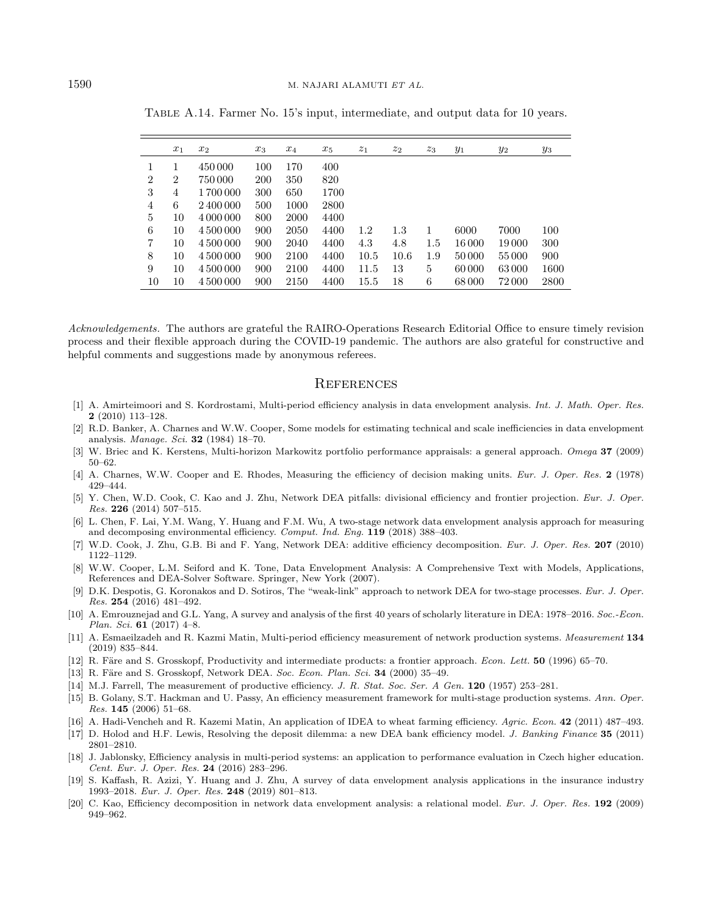|    | $x_1$          | $x_2$     | $x_3$      | $x_4$ | $x_5$ | $z_1$ | $z_2$ | $z_3$ | $y_1$  | $y_2$ | $y_3$ |
|----|----------------|-----------|------------|-------|-------|-------|-------|-------|--------|-------|-------|
|    |                | 450 000   | 100        | 170   | 400   |       |       |       |        |       |       |
| 2  | $\overline{2}$ | 750 000   | <b>200</b> | 350   | 820   |       |       |       |        |       |       |
| 3  | 4              | 1700000   | 300        | 650   | 1700  |       |       |       |        |       |       |
| 4  | 6              | 2400000   | 500        | 1000  | 2800  |       |       |       |        |       |       |
| 5  | 10             | 4 000 000 | 800        | 2000  | 4400  |       |       |       |        |       |       |
| 6  | 10             | 4 500 000 | 900        | 2050  | 4400  | 1.2   | 1.3   | 1     | 6000   | 7000  | 100   |
| 7  | 10             | 4 500 000 | 900        | 2040  | 4400  | 4.3   | 4.8   | 1.5   | 16000  | 19000 | 300   |
| 8  | 10             | 4 500 000 | 900        | 2100  | 4400  | 10.5  | 10.6  | 1.9   | 50 000 | 55000 | 900   |
| 9  | 10             | 4 500 000 | 900        | 2100  | 4400  | 11.5  | 13    | 5     | 60000  | 63000 | 1600  |
| 10 | 10             | 4 500 000 | 900        | 2150  | 4400  | 15.5  | 18    | 6     | 68000  | 72000 | 2800  |

Table A.14. Farmer No. 15's input, intermediate, and output data for 10 years.

<span id="page-19-18"></span><span id="page-19-15"></span><span id="page-19-13"></span><span id="page-19-12"></span><span id="page-19-2"></span><span id="page-19-1"></span>Acknowledgements. The authors are grateful the RAIRO-Operations Research Editorial Office to ensure timely revision process and their flexible approach during the COVID-19 pandemic. The authors are also grateful for constructive and helpful comments and suggestions made by anonymous referees.

#### **REFERENCES**

- <span id="page-19-19"></span><span id="page-19-9"></span>[1] A. Amirteimoori and S. Kordrostami, Multi-period efficiency analysis in data envelopment analysis. Int. J. Math. Oper. Res. 2 (2010) 113–128.
- <span id="page-19-11"></span>[2] R.D. Banker, A. Charnes and W.W. Cooper, Some models for estimating technical and scale inefficiencies in data envelopment analysis. Manage. Sci. 32 (1984) 18–70.
- <span id="page-19-3"></span>[3] W. Briec and K. Kerstens, Multi-horizon Markowitz portfolio performance appraisals: a general approach. Omega 37 (2009) 50–62.
- <span id="page-19-17"></span>[4] A. Charnes, W.W. Cooper and E. Rhodes, Measuring the efficiency of decision making units. Eur. J. Oper. Res. 2 (1978) 429–444.
- <span id="page-19-10"></span><span id="page-19-8"></span>[5] Y. Chen, W.D. Cook, C. Kao and J. Zhu, Network DEA pitfalls: divisional efficiency and frontier projection. Eur. J. Oper.  $Res.$  226 (2014) 507-515.
- <span id="page-19-14"></span><span id="page-19-0"></span>[6] L. Chen, F. Lai, Y.M. Wang, Y. Huang and F.M. Wu, A two-stage network data envelopment analysis approach for measuring and decomposing environmental efficiency. Comput. Ind. Eng. 119 (2018) 388–403.
- <span id="page-19-5"></span>[7] W.D. Cook, J. Zhu, G.B. Bi and F. Yang, Network DEA: additive efficiency decomposition. Eur. J. Oper. Res. 207 (2010) 1122–1129.
- <span id="page-19-6"></span>[8] W.W. Cooper, L.M. Seiford and K. Tone, Data Envelopment Analysis: A Comprehensive Text with Models, Applications, References and DEA-Solver Software. Springer, New York (2007).
- <span id="page-19-16"></span>D.K. Despotis, G. Koronakos and D. Sotiros, The "weak-link" approach to network DEA for two-stage processes. Eur. J. Oper. Res. 254 (2016) 481–492.
- <span id="page-19-4"></span>[10] A. Emrouznejad and G.L. Yang, A survey and analysis of the first 40 years of scholarly literature in DEA: 1978–2016. Soc.-Econ. Plan. Sci.  $61$  (2017) 4–8.
- <span id="page-19-7"></span>[11] A. Esmaeilzadeh and R. Kazmi Matin, Multi-period efficiency measurement of network production systems. Measurement 134 (2019) 835–844.
- [12] R. Färe and S. Grosskopf, Productivity and intermediate products: a frontier approach. Econ. Lett. 50 (1996) 65–70.
- [13] R. Färe and S. Grosskopf, Network DEA. Soc. Econ. Plan. Sci. 34 (2000) 35–49.
- [14] M.J. Farrell, The measurement of productive efficiency. J. R. Stat. Soc. Ser. A Gen. 120 (1957) 253–281.
- [15] B. Golany, S.T. Hackman and U. Passy, An efficiency measurement framework for multi-stage production systems. Ann. Oper. Res. 145 (2006) 51–68.
- [16] A. Hadi-Vencheh and R. Kazemi Matin, An application of IDEA to wheat farming efficiency. Agric. Econ. 42 (2011) 487–493.

[17] D. Holod and H.F. Lewis, Resolving the deposit dilemma: a new DEA bank efficiency model. J. Banking Finance 35 (2011) 2801–2810.

- [18] J. Jablonsky, Efficiency analysis in multi-period systems: an application to performance evaluation in Czech higher education. Cent. Eur. J. Oper. Res. 24 (2016) 283–296.
- [19] S. Kaffash, R. Azizi, Y. Huang and J. Zhu, A survey of data envelopment analysis applications in the insurance industry 1993–2018. Eur. J. Oper. Res. 248 (2019) 801–813.
- [20] C. Kao, Efficiency decomposition in network data envelopment analysis: a relational model. Eur. J. Oper. Res. 192 (2009) 949–962.